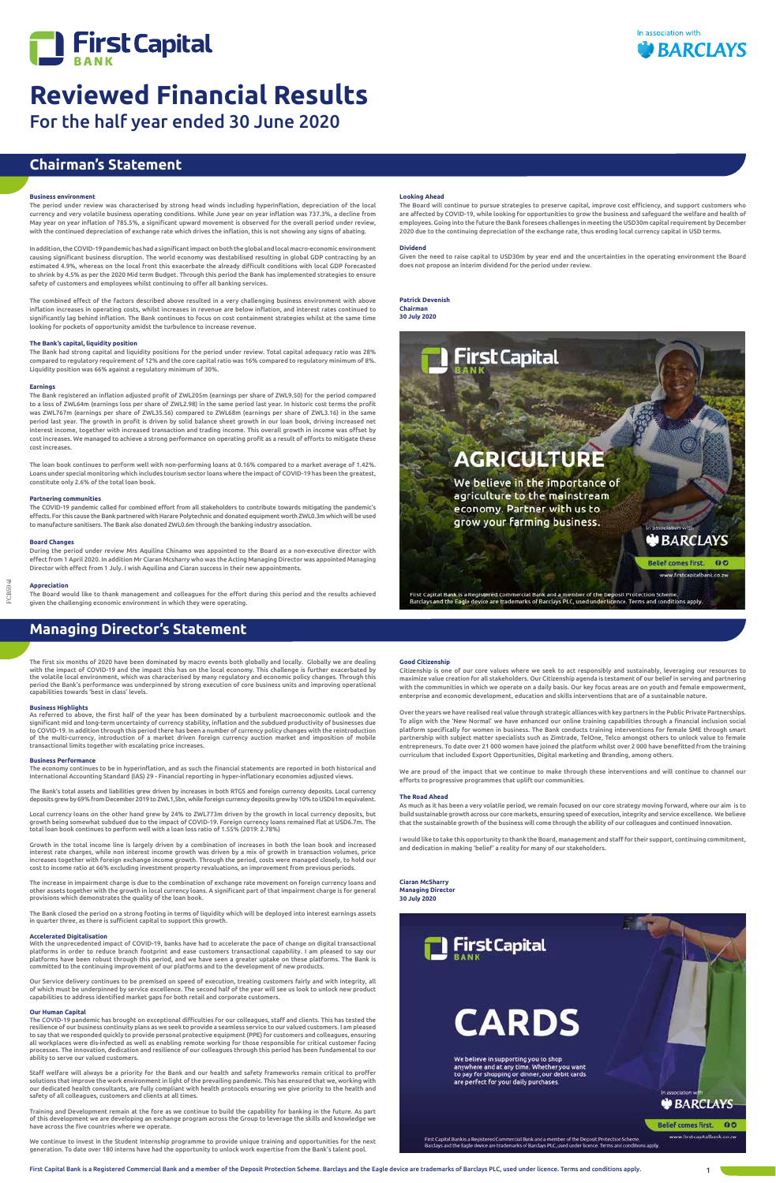



FCB5941

## **Chairman's Statement**

## **Managing Director's Statement**

## **Business environment**

The period under review was characterised by strong head winds including hyperinflation, depreciation of the local currency and very volatile business operating conditions. While June year on year inflation was 737.3%, a decline from May year on year inflation of 785.5%, a significant upward movement is observed for the overall period under review, with the continued depreciation of exchange rate which drives the inflation, this is not showing any signs of abating.

In addition, the COVID-19 pandemic has had a significant impact on both the global and local macro-economic environment causing significant business disruption. The world economy was destabilised resulting in global GDP contracting by an estimated 4.9%, whereas on the local front this exacerbate the already difficult conditions with local GDP forecasted to shrink by 4.5% as per the 2020 Mid term Budget. Through this period the Bank has implemented strategies to ensure safety of customers and employees whilst continuing to offer all banking services.

The combined effect of the factors described above resulted in a very challenging business environment with above inflation increases in operating costs, whilst increases in revenue are below inflation, and interest rates continued to significantly lag behind inflation. The Bank continues to focus on cost containment strategies whilst at the same time looking for pockets of opportunity amidst the turbulence to increase revenue.

## **The Bank's capital, liquidity position**

The Bank had strong capital and liquidity positions for the period under review. Total capital adequacy ratio was 28% compared to regulatory requirement of 12% and the core capital ratio was 16% compared to regulatory minimum of 8%. Liquidity position was 66% against a regulatory minimum of 30%.

## **Earnings**

The Bank registered an inflation adjusted profit of ZWL205m (earnings per share of ZWL9.50) for the period compared to a loss of ZWL64m (earnings loss per share of ZWL2.98) in the same period last year. In historic cost terms the profit was ZWL767m (earnings per share of ZWL35.56) compared to ZWL68m (earnings per share of ZWL3.16) in the same period last year. The growth in profit is driven by solid balance sheet growth in our loan book, driving increased net interest income, together with increased transaction and trading income. This overall growth in income was offset by cost increases. We managed to achieve a strong performance on operating profit as a result of efforts to mitigate these cost increases.

Local currency loans on the other hand grew by 24% to ZWL773m driven by the growth in local currency deposits, but growth being somewhat subdued due to the impact of COVID-19. Foreign currency loans remained flat at USD6.7m. The<br>total loan book continues to perform well with a loan loss ratio of 1.55% (2019: 2.78%)

The loan book continues to perform well with non-performing loans at 0.16% compared to a market average of 1.42%. Loans under special monitoring which includes tourism sector loans where the impact of COVID-19 has been the greatest, constitute only 2.6% of the total loan book.

## **Partnering communities**

The COVID-19 pandemic called for combined effort from all stakeholders to contribute towards mitigating the pandemic's effects. For this cause the Bank partnered with Harare Polytechnic and donated equipment worth ZWL0.3m which will be used to manufacture sanitisers. The Bank also donated ZWL0.6m through the banking industry association.

## **Board Changes**

During the period under review Mrs Aquilina Chinamo was appointed to the Board as a non-executive director with effect from 1 April 2020. In addition Mr Ciaran Mcsharry who was the Acting Managing Director was appointed Managing Director with effect from 1 July. I wish Aquilina and Ciaran success in their new appointments.

## **Appreciation**

The Board would like to thank management and colleagues for the effort during this period and the results achieved given the challenging economic environment in which they were operating.

The first six months of 2020 have been dominated by macro events both globally and locally. Globally we are dealing with the impact of COVID-19 and the impact this has on the local economy. This challenge is further exacerbated by the volatile local environment, which was characterised by many regulatory and economic policy changes. Through this<br>period the Bank's performance was underpinned by strong execution of core business units and improving op capabilities towards 'best in class' levels.

## **Business Highlights**

As referred to above, the first half of the year has been dominated by a turbulent macroeconomic outlook and the significant mid and long-term uncertainty of currency stability, inflation and the subdued productivity of businesses due to COVID-19. In addition through this period there has been a number of currency policy changes with the reintroduction of the multi-currency, introduction of a market driven foreign currency auction market and imposition of mobile transactional limits together with escalating price increases.

### **Business Performance**

The economy continues to be in hyperinflation, and as such the financial statements are reported in both historical and International Accounting Standard (IAS) 29 - Financial reporting in hyper-inflationary economies adjusted views.

The Bank's total assets and liabilities grew driven by increases in both RTGS and foreign currency deposits. Local currency<br>deposits grew by 69% from December 2019 to ZWL1,5bn, while foreign currency deposits grew by 10% t

Growth in the total income line is largely driven by a combination of increases in both the loan book and increased interest rate charges, while non interest income growth was driven by a mix of growth in transaction volumes, price increases together with foreign exchange income growth. Through the period, costs were managed closely, to hold our cost to income ratio at 66% excluding investment property revaluations, an improvement from previous periods.

The increase in impairment charge is due to the combination of exchange rate movement on foreign currency loans and other assets together with the growth in local currency loans. A significant part of that impairment charge is for general provisions which demonstrates the quality of the loan book.

The Bank closed the period on a strong footing in terms of liquidity which will be deployed into interest earnings assets in quarter three, as there is sufficient capital to support this growth.

**Accelerated Digitalisation**  With the unprecedented impact of COVID-19, banks have had to accelerate the pace of change on digital transactional platforms in order to reduce branch footprint and ease customers transactional capability. I am pleased to say our platforms have been robust through this period, and we have seen a greater uptake on these platforms. The Bank is committed to the continuing improvement of our platforms and to the development of new products.

Our Service delivery continues to be premised on speed of execution, treating customers fairly and with integrity, all of which must be underpinned by service excellence. The second half of the year will see us look to unlock new product capabilities to address identified market gaps for both retail and corporate customers.

### **Our Human Capital**

The COVID-19 pandemic has brought on exceptional difficulties for our colleagues, staff and clients. This has tested the resilience of our business continuity plans as we seek to provide a seamless service to our valued customers. I am pleased to say that we responded quickly to provide personal protective equipment (PPE) for customers and colleagues, ensuring all workplaces were dis-infected as well as enabling remote working for those responsible for critical customer facing processes. The innovation, dedication and resilience of our colleagues through this period has been fundamental to our ability to serve our valued customers.

Staff welfare will always be a priority for the Bank and our health and safety frameworks remain critical to proffer solutions that improve the work environment in light of the prevailing pandemic. This has ensured that we, working with our dedicated health consultants, are fully compliant with health protocols ensuring we give priority to the health and safety of all colleagues, customers and clients at all times.

Training and Development remain at the fore as we continue to build the capability for banking in the future. As part of this development we are developing an exchange program across the Group to leverage the skills and knowledge we have across the five countries where we operate.

We continue to invest in the Student Internship programme to provide unique training and opportunities for the next generation. To date over 180 interns have had the opportunity to unlock work expertise from the Bank's talent pool.



**CARDS** 

We believe in supporting you to shop<br>anywhere and at any time. Whether you want<br>to pay for shopping or dinner, our debit cards are perfect for your daily purchases.

**BARCLAYS** 

Belief comes first. 00

www.firstcapitalbank.co.zw

.<br>First Capital Bank is a Registered Commercial Bank and a member of the Deposit Protection Schem<br>Barclays and the Eagle device are trademarks of Barclays PLC, used under licence. Terms and condit

## **Good Citizenship**

Citizenship is one of our core values where we seek to act responsibly and sustainably, leveraging our resources to maximize value creation for all stakeholders. Our Citizenship agenda is testament of our belief in serving and partnering with the communities in which we operate on a daily basis. Our key focus areas are on youth and female empowerment, enterprise and economic development, education and skills interventions that are of a sustainable nature.

Over the years we have realised real value through strategic alliances with key partners in the Public Private Partnerships. To align with the 'New Normal' we have enhanced our online training capabilities through a financial inclusion social platform specifically for women in business. The Bank conducts training interventions for female SME through smart partnership with subject matter specialists such as Zimtrade, TelOne, Telco amongst others to unlock value to female entrepreneurs. To date over 21 000 women have joined the platform whilst over 2 000 have benefitted from the training curriculum that included Export Opportunities, Digital marketing and Branding, among others.

We are proud of the impact that we continue to make through these interventions and will continue to channel our efforts to progressive programmes that uplift our communities.

### **The Road Ahead**

As much as it has been a very volatile period, we remain focused on our core strategy moving forward, where our aim is to build sustainable growth across our core markets, ensuring speed of execution, integrity and service excellence. We believe that the sustainable growth of the business will come through the ability of our colleagues and continued innovation.

I would like to take this opportunity to thank the Board, management and staff for their support, continuing commitment, and dedication in making 'belief' a reality for many of our stakeholders.

**Ciaran McSharry Managing Director 30 July 2020**

E PELIP



## **Looking Ahead**

The Board will continue to pursue strategies to preserve capital, improve cost efficiency, and support customers who are affected by COVID-19, while looking for opportunities to grow the business and safeguard the welfare and health of employees. Going into the future the Bank foresees challenges in meeting the USD30m capital requirement by December 2020 due to the continuing depreciation of the exchange rate, thus eroding local currency capital in USD terms.

### **Dividend**

Given the need to raise capital to USD30m by year end and the uncertainties in the operating environment the Board does not propose an interim dividend for the period under review.

**Patrick Devenish Chairman 30 July 2020**



First Capital Bank is a Registered Commercial Bank and a member of the Deposit Protection Scheme.<br>Barclays and the Eagle device are trademarks of Barclays PLC, used under licence. Terms and conditions apply.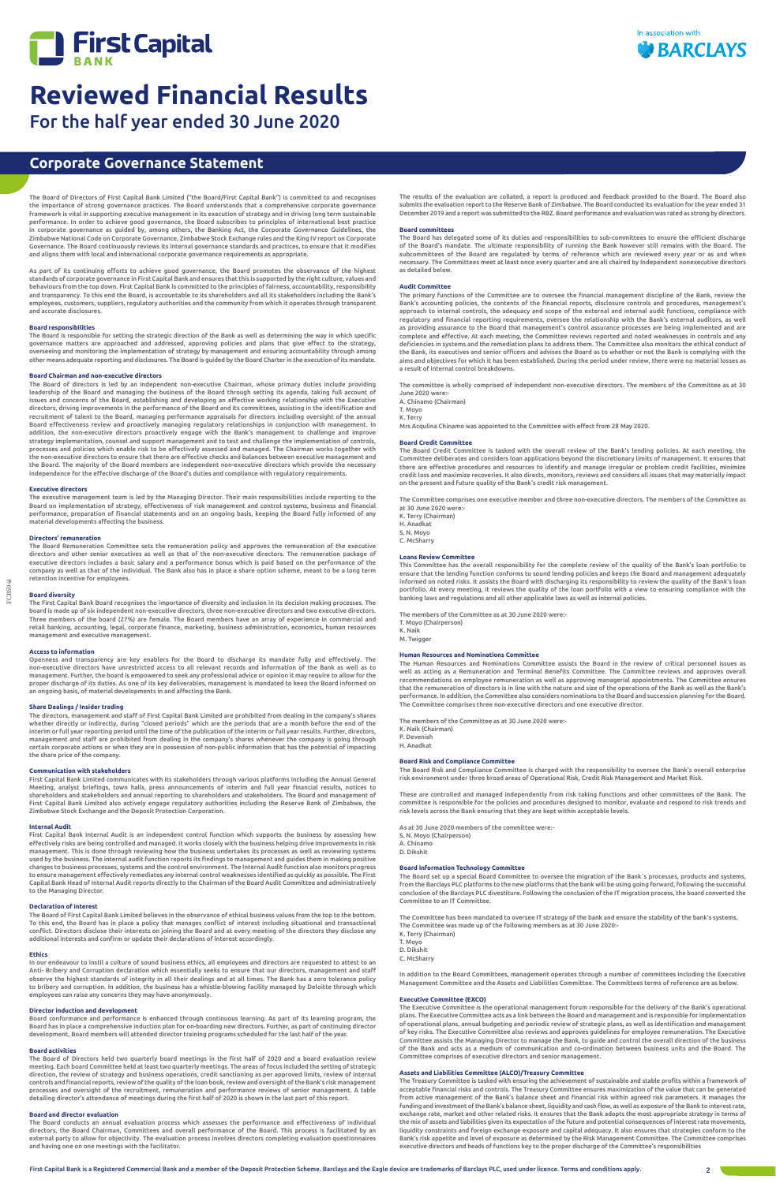

FCB5941

The Board of Directors of First Capital Bank Limited ("the Board/First Capital Bank") is committed to and recognises the importance of strong governance practices. The Board understands that a comprehensive corporate governance framework is vital in supporting executive management in its execution of strategy and in driving long term sustainable performance. In order to achieve good governance, the Board subscribes to principles of international best practice in corporate governance as guided by, among others, the Banking Act, the Corporate Governance Guidelines, the Zimbabwe National Code on Corporate Governance, Zimbabwe Stock Exchange rules and the King IV report on Corporate Governance. The Board continuously reviews its internal governance standards and practices, to ensure that it modifies and aligns them with local and international corporate governance requirements as appropriate.

As part of its continuing efforts to achieve good governance, the Board promotes the observance of the highest<br>standardsofcorporategovernancein First Capital Bank and ensures that thisis supported by the right culture, val behaviours from the top down. First Capital Bank is committed to the principles of fairness, accountability, responsibility and transparency. To this end the Board, is accountable to its shareholders and all its stakeholders including the Bank's employees, customers, suppliers, regulatory authorities and the community from which it operates through transparent and accurate disclosures.

The Board is responsible for setting the strategic direction of the Bank as well as determining the way in which specific governance matters are approached and addressed, approving policies and plans that give effect to the strategy, overseeing and monitoring the implementation of strategy by management and ensuring accountability through among<br>other means adequate reporting and disclosures. The Board is guided by the Board Charter in the execution of

## **Board responsibilities**

## **Board Chairman and non-executive directors**

Openness and transparency are key enablers for the Board to discharge its mandate fully and effectively. The non-executive directors have unrestricted access to all relevant records and information of the Bank as well as to management. Further, the board is empowered to seek any professional advice or opinion it may require to allow for the proper discharge of its duties. As one of its key deliverables, management is mandated to keep the Board informed on<br>an ongoing basis, of material developments in and affecting the Bank.

The Board of directors is led by an independent non-executive Chairman, whose primary duties include providing leadership of the Board and managing the business of the Board through setting its agenda, taking full account of issues and concerns of the Board, establishing and developing an effective working relationship with the Executive directors, driving improvements in the performance of the Board and its committees, assisting in the identification and<br>recruitment of talent to the Board, managing performance appraisals for directors including oversight Board effectiveness review and proactively managing regulatory relationships in conjunction with management. In addition, the non-executive directors proactively engage with the Bank's management to challenge and improve strategy implementation, counsel and support management and to test and challenge the implementation of controls, processes and policies which enable risk to be effectively assessed and managed. The Chairman works together with<br>the non-executive directors to ensure that there are effective checks and balances between executive managem the Board. The majority of the Board members are independent non-executive directors which provide the necessary independence for the effective discharge of the Board's duties and compliance with regulatory requirements.

## **Executive directors**

The Board of First Capital Bank Limited believes in the observance of ethical business values from the top to the bottom. To this end, the Board has in place a policy that manages conflict of interest including situational and transactional conflict. Directors disclose their interests on joining the Board and at every meeting of the directors they disclose any rests and confirm or update their declarations of interest accordingly

The executive management team is led by the Managing Director. Their main responsibilities include reporting to the Board on implementation of strategy, effectiveness of risk management and control systems, business and financial performance, preparation of financial statements and on an ongoing basis, keeping the Board fully informed of any material developments affecting the business.

## **Directors' remuneration**

The Board Remuneration Committee sets the remuneration policy and approves the remuneration of the executive directors and other senior executives as well as that of the non-executive directors. The remuneration package of executive directors includes a basic salary and a performance bonus which is paid based on the performance of the company as well as that of the individual. The Bank also has in place a share option scheme, meant to be a long term retention incentive for employees.

## **Board diversity**

The First Capital Bank Board recognises the importance of diversity and inclusion in its decision making processes. The board is made up of six independent non-executive directors, three non-executive directors and two executive directors. Three members of the board (27%) are female. The Board members have an array of experience in commercial and retail banking, accounting, legal, corporate finance, marketing, business administration, economics, human resources management and executive management.

## **Access to information**

## **Share Dealings / Insider trading**

The directors, management and staff of First Capital Bank Limited are prohibited from dealing in the company's shares whether directly or indirectly, during "closed periods" which are the periods that are a month before the end of the interim or full year reporting period until the time of the publication of the interim or full year results. Further, directors,<br>management and staff are prohibited from dealing in the company's shares whenever the company certain corporate actions or when they are in possession of non-public information that has the potential of impacting the share price of the company.

## **Communication with stakeholders**

First Capital Bank Limited communicates with its stakeholders through various platforms including the Annual General Meeting, analyst briefings, town halls, press announcements of interim and full year financial results, notices to shareholders and stakeholders and annual reporting to shareholders and stakeholders. The Board and management of First Capital Bank Limited also actively engage regulatory authorities including the Reserve Bank of Zimbabwe, the Zimbabwe Stock Exchange and the Deposit Protection Corporation.

This Committee has the overall responsibility for the complete review of the quality of the Bank's loan portfolio to ensure that the lending function conforms to sound lending policies and keeps the Board and management adequately informed on noted risks. It assists the Board with discharging its responsibility to review the quality of the Bank's loan portfolio. At every meeting, it reviews the quality of the loan portfolio with a view to ensuring compliance with the<br>banking laws and regulations and all other applicable laws as well as internal policies.

## **Internal Audit**

First Capital Bank Internal Audit is an independent control function which supports the business by assessing how effectively risks are being controlled and managed. It works closely with the business helping drive improvements in risk management. This is done through reviewing how the business undertakes its processes as well as reviewing systems used by the business. The internal audit function reports its findings to management and guides them in making positive<br>changes to business processes, systems and the control environment. The Internal Audit function also m to ensure management effectively remediates any internal control weaknesses identified as quickly as possible. The First Capital Bank Head of Internal Audit reports directly to the Chairman of the Board Audit Committee and administratively to the Managing Director.

As at 30 June 2020 members of the committee were: S. N. Moyo (Chairperson) A. Chinamo D. Dikshit

## **Declaration of interest**

## **Ethics**

In our endeavour to instil a culture of sound business ethics, all employees and directors are requested to attest to an Anti- Bribery and Corruption declaration which essentially seeks to ensure that our directors, management and staff observe the highest standards of integrity in all their dealings and at all times. The Bank has a zero tolerance policy to bribery and corruption. In addition, the business has a whistle-blowing facility managed by Deloitte through which employees can raise any concerns they may have anonymously.

## **Director induction and development**

Board conformance and performance is enhanced through continuous learning. As part of its learning program, the Board has in place a comprehensive induction plan for on-boarding new directors. Further, as part of continuing director development, Board members will attended director training programs scheduled for the last half of the year.

## **Board activities**

The Board of Directors held two quarterly board meetings in the first half of 2020 and a board evaluation review meeting. Each board Committee held at least two quarterly meetings. The areas of focus included the setting of strategic direction, the review of strategy and business operations, credit sanctioning as per approved limits, review of internal controls and financial reports, review of the quality of the loan book, review and oversight of the Bank's risk management processes and oversight of the recruitment, remuneration and performance reviews of senior management. A table detailing director's attendance of meetings during the first half of 2020 is shown in the last part of this report.

## **Board and director evaluation**

The Board conducts an annual evaluation process which assesses the performance and effectiveness of individual directors, the Board Chairman, Committees and overall performance of the Board. This process is facilitated by an external party to allow for objectivity. The evaluation process involves directors completing evaluation questionnaires and having one on one meetings with the facilitator.

## **Corporate Governance Statement**

The results of the evaluation are collated, a report is produced and feedback provided to the Board. The Board also submits the evaluation report to the Reserve Bank of Zimbabwe. The Board conducted its evaluation for the year ended 31 December 2019 and a report was submitted to the RBZ. Board performance and evaluation was rated as strong by directors.

## **Board committees**

The Board has delegated some of its duties and responsibilities to sub-committees to ensure the efficient discharge of the Board's mandate. The ultimate responsibility of running the Bank however still remains with the Board. The subcommittees of the Board are regulated by terms of reference which are reviewed every year or as and when necessary. The Committees meet at least once every quarter and are all chaired by Independent nonexecutive directors as detailed below.

## **Audit Committee**

The primary functions of the Committee are to oversee the financial management discipline of the Bank, review the Bank's accounting policies, the contents of the financial reports, disclosure controls and procedures, management's approach to internal controls, the adequacy and scope of the external and internal audit functions, compliance with regulatory and financial reporting requirements, oversee the relationship with the Bank's external auditors, as well as providing assurance to the Board that management's control assurance processes are being implemented and are complete and effective. At each meeting, the Committee reviews reported and noted weaknesses in controls and any deficiencies in systems and the remediation plans to address them. The Committee also monitors the ethical conduct of the Bank, its executives and senior officers and advises the Board as to whether or not the Bank is complying with the aims and objectives for which it has been established. During the period under review, there were no material losses as a result of internal control breakdowns.

The committee is wholly comprised of independent non-executive directors. The members of the Committee as at 30 June 2020 were: A. Chinamo (Chairman)

T. Moyo

K. Terry

Mrs Acqulina Chinamo was appointed to the Committee with effect from 28 May 2020.

## **Board Credit Committee**

The Board Credit Committee is tasked with the overall review of the Bank's lending policies. At each meeting, the Committee deliberates and considers loan applications beyond the discretionary limits of management. It ensures that there are effective procedures and resources to identify and manage irregular or problem credit facilities, minimize credit loss and maximize recoveries. It also directs, monitors, reviews and considers all issues that may materially impact on the present and future quality of the Bank's credit risk management.

The Committee comprises one executive member and three non-executive directors. The members of the Committee as at 30 June 2020 were:-

K. Terry (Chairman) H. Anadkat S. N. Moyo C. McSharry

## **Loans Review Committee**

The members of the Committee as at 30 June 2020 were:- T. Moyo (Chairperson) K. Naik

M. Twigger

## **Human Resources and Nominations Committee**

The Human Resources and Nominations Committee assists the Board in the review of critical personnel issues as well as acting as a Remuneration and Terminal Benefits Committee. The Committee reviews and approves overall recommendations on employee remuneration as well as approving managerial appointments. The Committee ensures that the remuneration of directors is in line with the nature and size of the operations of the Bank as well as the Bank's performance. In addition, the Committee also considers nominations to the Board and succession planning for the Board. The Committee comprises three non-executive directors and one executive director.

The members of the Committee as at 30 June 2020 were:- K. Naik (Chairman) P. Devenish H. Anadkat

**Board Risk and Compliance Committee**

The Board Risk and Compliance Committee is charged with the responsibility to oversee the Bank's overall enterprise risk environment under three broad areas of Operational Risk, Credit Risk Management and Market Risk.

These are controlled and managed independently from risk taking functions and other committees of the Bank. The committee is responsible for the policies and procedures designed to monitor, evaluate and respond to risk trends and risk levels across the Bank ensuring that they are kept within acceptable levels.

## **Board Information Technology Committee**

The Board set up a special Board Committee to oversee the migration of the Bank`s processes, products and systems, from the Barclays PLC platforms to the new platforms that the bank will be using going forward, following the successful conclusion of the Barclays PLC divestiture. Following the conclusion of the IT migration process, the board converted the Committee to an IT Committee.

The Committee has been mandated to oversee IT strategy of the bank and ensure the stability of the bank's systems. The Committee was made up of the following members as at 30 June 2020:- K. Terry (Chairman)



```
T. Moyo
D. Dikshit
C. McSharry
```
In addition to the Board Committees, management operates through a number of committees including the Executive Management Committee and the Assets and Liabilities Committee. The Committees terms of reference are as below.

## **Executive Committee (EXCO)**

The Executive Committee is the operational management forum responsible for the delivery of the Bank's operational plans. The Executive Committee acts as a link between the Board and management and is responsible for implementation of operational plans, annual budgeting and periodic review of strategic plans, as well as identification and management of key risks. The Executive Committee also reviews and approves guidelines for employee remuneration. The Executive Committee assists the Managing Director to manage the Bank, to guide and control the overall direction of the business<br>of the Bank and acts as a medium of communication and co-ordination between business units and the Boar Committee comprises of executive directors and senior management.

## **Assets and Liabilities Committee (ALCO)/Treasury Committee**

The Treasury Committee is tasked with ensuring the achievement of sustainable and stable profits within a framework of acceptable financial risks and controls. The Treasury Committee ensures maximization of the value that can be generated from active management of the Bank's balance sheet and financial risk within agreed risk parameters. It manages the funding and investment of the Bank's balance sheet, liquidity and cash flow, as well as exposure of the Bank to interest rate, exchange rate, market and other related risks. It ensures that the Bank adopts the most appropriate strategy in terms of the mix of assets and liabilities given its expectation of the future and potential consequences of interest rate movements, liquidity constraints and foreign exchange exposure and capital adequacy. It also ensures that strategies conform to the Bank's risk appetite and level of exposure as determined by the Risk Management Committee. The Committee comprises executive directors and heads of functions key to the proper discharge of the Committee's responsibilities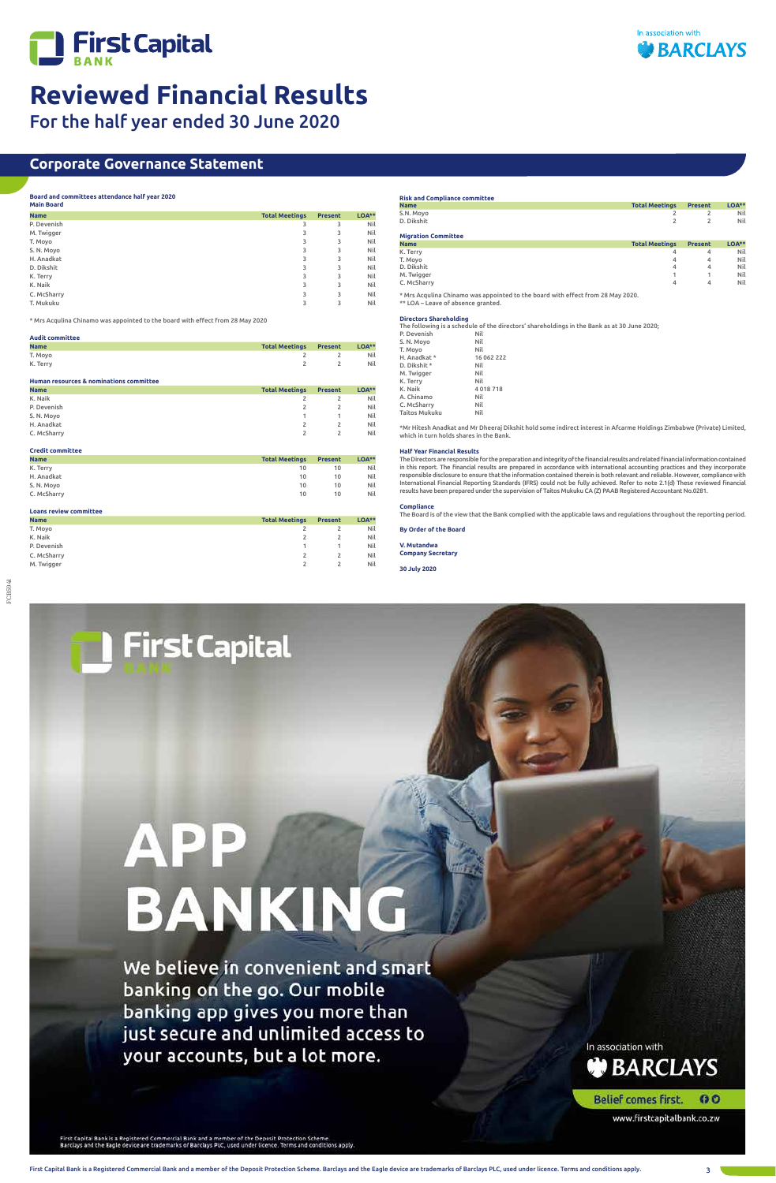



# **Reviewed Financial Results**

For the half year ended 30 June 2020

# FCB5941

First Capital Bank is a Registered Commercial Bank and a member of the Deposit Protection Scheme. Barclays and the Eagle device are trademarks of Barclays PLC, used under licence. Terms and conditions apply. 3

## **Corporate Governance Statement**

## **Board and committees attendance half year 2020**

| <b>Main Board</b> |                       |                |       |
|-------------------|-----------------------|----------------|-------|
| <b>Name</b>       | <b>Total Meetings</b> | <b>Present</b> | LOA** |
| P. Devenish       | 3                     | 3              | Nil   |
| M. Twigger        | 3                     | 3              | Nil   |
| T. Moyo           | 3                     | 3              | Nil   |
| S.N. Moyo         | 3                     | 3              | Nil   |
| H. Anadkat        | 3                     | 3              | Nil   |
| D. Dikshit        | 3                     | 3              | Nil   |
| K. Terry          | 3                     | 3              | Nil   |
| K. Naik           | 3                     | 3              | Nil   |
| C. McSharry       | 3                     | 3              | Nil   |
| T. Mukuku         | 3                     | 3              | Nil   |

\* Mrs Acqulina Chinamo was appointed to the board with effect from 28 May 2020

| <b>Audit committee</b>                   |                       |                |       |
|------------------------------------------|-----------------------|----------------|-------|
| <b>Name</b>                              | <b>Total Meetings</b> | <b>Present</b> | LOA** |
| T. Moyo                                  |                       |                | Nil   |
| K. Terry                                 |                       |                | Nil   |
| Human resources & nominations committee. |                       |                |       |

| <b>Total Meetings</b> | <b>Present</b> | <b>LOA**</b> |
|-----------------------|----------------|--------------|
|                       | 2              | Nil          |
|                       | 2              | Nil          |
|                       |                | Nil          |
| 2                     | 2              | Nil          |
|                       | 2              | Nil          |
|                       |                |              |

| <b>Credit committee</b> |                       |                |          |
|-------------------------|-----------------------|----------------|----------|
| <b>Name</b>             | <b>Total Meetings</b> | <b>Present</b> | $LOA***$ |
| K. Terry                | 10                    | 10             | Nil      |
| H. Anadkat              | 10                    | 10             | Nil      |
| S.N. Moyo               | 10                    | 10             | Nil      |
| C. McSharry             | 10                    | 10             | Nil      |

| <b>Loans review committee</b> |                       |                |          |
|-------------------------------|-----------------------|----------------|----------|
| <b>Name</b>                   | <b>Total Meetings</b> | <b>Present</b> | $LOA***$ |
| T. Moyo                       |                       |                | Nil      |
| K. Naik                       |                       |                | Nil      |
| P. Devenish                   |                       |                | Nil      |
| C. McSharry                   |                       |                | Nil      |
| M. Twigger                    |                       |                | Nil      |

## **Risk and Compliance committee Name Total Meetings Present LOA\*\***

| S.N. Moyo                  | 2                     |                | Nil      |
|----------------------------|-----------------------|----------------|----------|
| D. Dikshit                 | 2                     | 2              | Nil      |
| <b>Migration Committee</b> |                       |                |          |
|                            |                       |                |          |
| <b>Name</b>                | <b>Total Meetings</b> | <b>Present</b> | $LOA***$ |
| K. Terry                   | 4                     | 4              | Nil      |
| T. Moyo                    | 4                     | 4              | Nil      |
| D. Dikshit                 | 4                     | 4              | Nil      |
| M. Twigger                 |                       |                | Nil      |
| C. McSharry                | 4                     | 4              | Nil      |
|                            |                       |                |          |

\* Mrs Acqulina Chinamo was appointed to the board with effect from 28 May 2020. \*\* LOA – Leave of absence granted.

## **Directors Shareholding**

The following is a schedule of the directors' shareholdings in the Bank as at 30 June 2020;

| P. Devenish   | Nil        |
|---------------|------------|
| S.N.Moyo      | Nil        |
| T. Movo       | Nil        |
| H. Anadkat *  | 16 062 222 |
| D. Dikshit *  | Nil        |
| M. Twigger    | Nil        |
| K. Terry      | Nil        |
| K. Naik       | 4018718    |
| A. Chinamo    | Nil        |
| C. McSharry   | Nil        |
| Taitos Mukuku | Nil        |
|               |            |

\*Mr Hitesh Anadkat and Mr Dheeraj Dikshit hold some indirect interest in Afcarme Holdings Zimbabwe (Private) Limited, which in turn holds shares in the Bank.

## **Half Year Financial Results**

The Directors are responsible for the preparation and integrity of the financial results and related financial information contained in this report. The financial results are prepared in accordance with international accounting practices and they incorporate responsible disclosure to ensure that the information contained therein is both relevant and reliable. However, compliance with International Financial Reporting Standards (IFRS) could not be fully achieved. Refer to note 2.1(d) These reviewed financial results have been prepared under the supervision of Taitos Mukuku CA (Z) PAAB Registered Accountant No.0281.

## **Compliance**

The Board is of the view that the Bank complied with the applicable laws and regulations throughout the reporting period.

**By Order of the Board**

## **V. Mutandwa Company Secretary**

**30 July 2020**



We believe in convenient and smart banking on the go. Our mobile banking app gives you more than just secure and unlimited access to your accounts, but a lot more.

In association with **BARCLAYS** 

Belief comes first. 0O

www.firstcapitalbank.co.zw

First Capital Bank is a Registered Commercial Bank and a member of the Deposit Protection Scheme.<br>Barclays and the Eagle device are trademarks of Barclays PLC, used under licence. Terms and conditions apply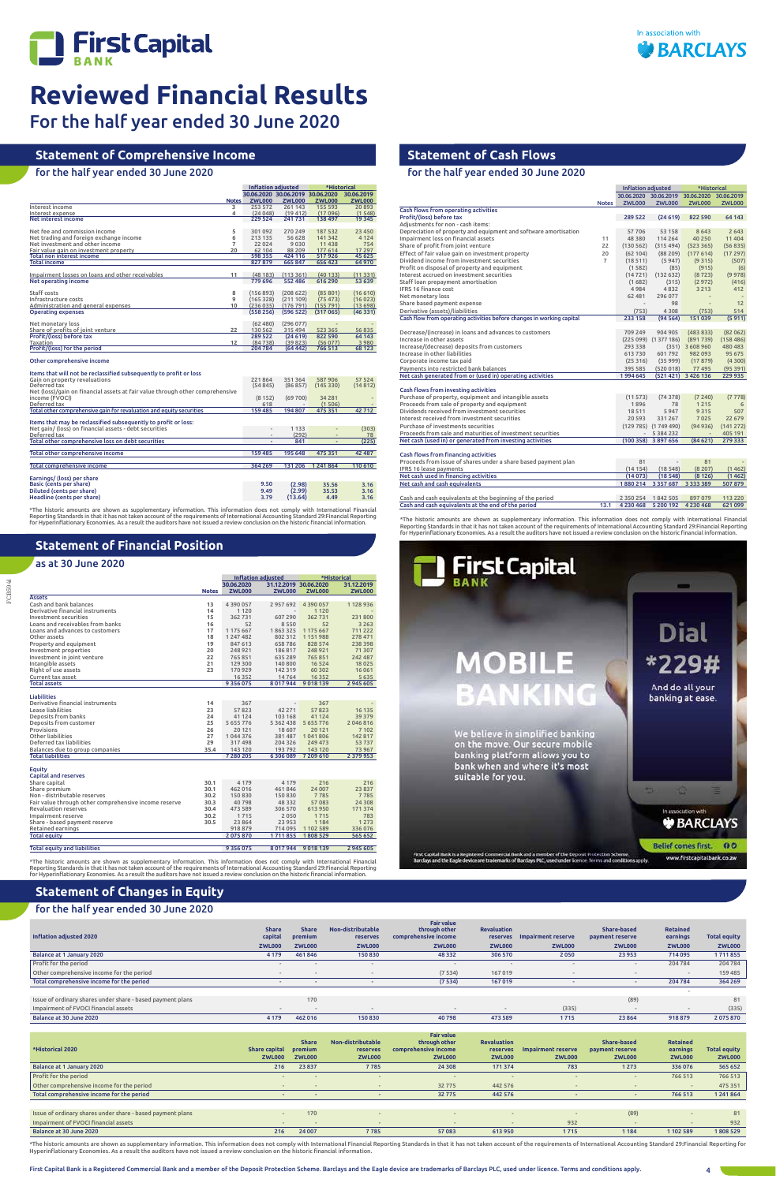

 $Inflation$  adjusted  $\overline{\phantom{A}}$ 



# **Reviewed Financial Results**

For the half year ended 30 June 2020

FCB5941

# **Statement of Financial Position**

## as at 30 June 2020

## **Statement of Cash Flows**

for the half year ended 30 June 2020

# **Statement of Comprehensive Income**

## for the half year ended 30 June 2020

|                                                                                                                             |                | <b>Inflation adjusted</b>        |                    | *Historical        |                 |  |
|-----------------------------------------------------------------------------------------------------------------------------|----------------|----------------------------------|--------------------|--------------------|-----------------|--|
|                                                                                                                             |                | 30.06.2020 30.06.2019 30.06.2020 |                    |                    | 30.06.2019      |  |
|                                                                                                                             | <b>Notes</b>   | <b>ZWL000</b>                    | <b>ZWL000</b>      | <b>ZWL000</b>      | <b>ZWL000</b>   |  |
| Interest income                                                                                                             | 3              | 253 572                          | 261 143            | 155 593            | 20893           |  |
| Interest expense                                                                                                            | 4              | (24048)                          | (19412)            | (17096)            | (1548)          |  |
| Net interest income                                                                                                         |                | 229 524                          | 241731             | 138 497            | 19 345          |  |
| Net fee and commission income                                                                                               | 5              | 301 092                          | 270 249            | 187 532            | 23 450          |  |
| Net trading and foreign exchange income                                                                                     | 6              | 213 135                          | 56 628             | 141 342            | 4 1 2 4         |  |
| Net investment and other income                                                                                             | $\overline{7}$ | 22 0 24                          | 9030               | 11 4 38            | 754             |  |
| Fair value gain on investment property                                                                                      | 20             | 62 104                           | 88 209             | 177 614            | 17 297          |  |
| <b>Total non interest income</b>                                                                                            |                | 598 355                          | 424 116            | 517926             | 45 625          |  |
| <b>Total income</b>                                                                                                         |                | 827 879                          | 665 847            | 656 423            | 64 970          |  |
| Impairment losses on loans and other receivables                                                                            | 11             | (48183)                          | (113361)           | (40133)            | (11331)         |  |
| <b>Net operating income</b>                                                                                                 |                | 779 696                          | 552 486            | 616 290            | 53 639          |  |
| Staff costs                                                                                                                 | 8              | (156 893)                        | (208622)           | (85801)            | (16610)         |  |
| Infrastructure costs                                                                                                        | 9              | (165328)                         | (211109)           | (75473)            | (16023)         |  |
| Administration and general expenses                                                                                         | 10             | (236035)                         | (176791)           | (155 791)          | (13698)         |  |
| <b>Operating expenses</b>                                                                                                   |                | (558256)                         | (596 522)          | (317065)           | (46331)         |  |
|                                                                                                                             |                |                                  |                    |                    |                 |  |
| Net monetary loss                                                                                                           |                | (62, 480)                        | (296077)           |                    |                 |  |
| Share of profits of joint venture<br>Profit/(loss) before tax                                                               | 22             | 130 562<br>289 522               | 315 494<br>(24619) | 523 365<br>822 590 | 56835<br>64 143 |  |
| Taxation                                                                                                                    | 12             | (84738)                          | (39823)            | (56077)            | 3980            |  |
| Profit/(loss) for the period                                                                                                |                | 204 784                          | (64442)            | 766 513            | 68 123          |  |
| Other comprehensive income<br>Items that will not be reclassified subsequently to profit or loss                            |                |                                  |                    |                    |                 |  |
| Gain on property revaluations                                                                                               |                | 221864                           | 351364             | 587 906            | 57 524          |  |
| Deferred tax<br>Net (loss)/gain on financial assets at fair value through other comprehensive                               |                | (54845)                          | (86857)            | (145330)           | (14812)         |  |
| income (FVOCI)                                                                                                              |                | (8152)                           | (69700)            | 34 2 8 1           |                 |  |
| Deferred tax                                                                                                                |                | 618                              |                    | (1506)             |                 |  |
| Total other comprehensive gain for revaluation and equity securities                                                        |                | 159 485                          | 194 807            | 475 351            | 42712           |  |
| Items that may be reclassified subsequently to profit or loss:                                                              |                |                                  |                    |                    |                 |  |
| Net gain/ (loss) on financial assets - debt securities                                                                      |                |                                  | 1 1 3 3            |                    | (303)           |  |
| Deferred tax                                                                                                                |                |                                  | (292)              |                    | 78              |  |
| Total other comprehensive loss on debt securities                                                                           |                |                                  | 841                |                    | (225)           |  |
| Total other comprehensive income                                                                                            |                | 159 485                          | 195 648            | 475 351            | 42 487          |  |
|                                                                                                                             |                |                                  |                    |                    |                 |  |
| Total comprehensive income                                                                                                  |                | 364 269                          | 131 206            | 1241864            | 110 610         |  |
| Earnings/ (loss) per share                                                                                                  |                |                                  |                    |                    |                 |  |
| Basic (cents per share)                                                                                                     |                | 9.50                             | (2.98)             | 35.56              | 3.16            |  |
| Diluted (cents per share)                                                                                                   |                | 9.49                             | (2.99)             | 35.53              | 3.16            |  |
| Headline (cents per share)                                                                                                  |                | 3.79                             | (13.64)            | 4.49               | 3.16            |  |
|                                                                                                                             |                |                                  |                    |                    |                 |  |
| *The historic amounts are shown as supplementary information. This information does not comply with International Financial |                |                                  |                    |                    |                 |  |

\*The historic amounts are shown as supplementary information. This information does not comply with International Financial<br>Reporting Standards in that it has not taken account of the requirements of International Accounti

|                                                       |              | <b>Inflation adjusted</b> |                          | *Historical          |               |
|-------------------------------------------------------|--------------|---------------------------|--------------------------|----------------------|---------------|
|                                                       |              | 30.06.2020                | 31.12.2019 30.06.2020    |                      | 31.12.2019    |
|                                                       | <b>Notes</b> | <b>ZWL000</b>             | <b>ZWL000</b>            | <b>ZWL000</b>        | <b>ZWL000</b> |
| <b>Assets</b>                                         |              |                           |                          |                      |               |
| Cash and bank balances                                | 13           | 4390057                   | 2957692                  | 4 3 9 0 0 5 7        | 1 128 936     |
| Derivative financial instruments                      | 14           | 1 1 2 0                   | $\overline{\phantom{a}}$ | 1 1 2 0              |               |
| Investment securities                                 | 15           | 362731                    | 607 290                  | 362731               | 231800        |
| Loans and receivables from banks                      | 16           | 52                        | 8550                     | 52                   | 3 2 6 3       |
| Loans and advances to customers                       | 17           | 1 175 667                 | 1863325                  | 1 175 667            | 711 222       |
| Other assets                                          | 18           | 1 247 482                 | 802 312                  | 1151988              | 278 471       |
| Property and equipment                                | 19           | 847 613                   | 658786                   | 828 574              | 238 398       |
| Investment properties                                 | 20           | 248 921                   | 186 817                  | 248 921              | 71 307        |
| Investment in joint venture                           | 22           | 765851                    | 635 289                  | 765851               | 242 487       |
| Intangible assets                                     | 21           | 129 300                   | 140 800                  | 16 5 24              | 18025         |
| Right of use assets                                   | 23           | 170 929                   | 142 319                  | 60 30 2              | 16 0 61       |
| Current tax asset                                     |              | 16 3 5 2                  | 14764                    | 16 3 5 2             | 5 6 3 5       |
| <b>Total assets</b>                                   |              | 9 3 5 6 0 7 5             |                          | 8 017 944 9 018 139  | 2945605       |
|                                                       |              |                           |                          |                      |               |
| <b>Liabilities</b>                                    |              |                           |                          |                      |               |
| Derivative financial instruments                      | 14           | 367                       |                          | 367                  |               |
| Lease liabilities                                     | 23           | 57823                     | 42 2 7 1                 | 57823                | 16 135        |
| Deposits from banks                                   | 24           | 41 124                    | 103 168                  | 41 124               | 39 379        |
| Deposits from customer                                | 25           | 5 655 776                 | 5 3 6 2 4 3 8            | 5 655 776            | 2046816       |
| Provisions                                            | 26           | 20 12 1                   | 18 607                   | 20 121               | 7 1 0 2       |
| Other liabilities                                     | 27           | 1044376                   | 381 487                  | 1041806              | 142 817       |
| Deferred tax liabilities                              | 29           | 317498                    | 204 326                  | 249 473              | 53737         |
| Balances due to group companies                       | 35.4         | 143 120                   | 193792                   | 143 120              | 73 967        |
| <b>Total liabilities</b>                              |              | 7280205                   |                          | 6 30 6 089 7 209 610 | 2 3 7 9 9 5 3 |
|                                                       |              |                           |                          |                      |               |
| Equity                                                |              |                           |                          |                      |               |
| <b>Capital and reserves</b>                           |              |                           |                          |                      |               |
| Share capital                                         | 30.1         | 4 1 7 9                   | 4 1 7 9                  | 216                  | 216           |
| Share premium                                         | 30.1         | 462 016                   | 461846                   | 24 007               | 23 837        |
| Non - distributable reserves                          | 30.2         | 150 830                   | 150 830                  | 7785                 | 7785          |
| Fair value through other comprehensive income reserve | 30.3         | 40798                     | 48 3 3 2                 | 57083                | 24 30 8       |
| <b>Revaluation reserves</b>                           | 30.4         | 473 589                   | 306 570                  | 613950               | 171 374       |
| Impairment reserve                                    | 30.2         | 1715                      | 2050                     | 1715                 | 783           |
| Share - based payment reserve                         | 30.5         | 23 8 64                   | 23 953                   | 1 1 8 4              | 1 2 7 3       |
| Retained earnings                                     |              | 918 879                   | 714 095                  | 1 102 589            | 336 076       |
| <b>Total equity</b>                                   |              | 2075870                   | 1711855                  | 1808529              | 565 652       |
| <b>Total equity and liabilities</b>                   |              | 9 3 5 6 0 7 5             | 8 0 1 7 9 4 4            | 9 0 18 13 9          | 2945605       |
|                                                       |              |                           |                          |                      |               |

\*The historic amounts are shown as supplementary information. This information does not comply with International Financial<br>Reporting Standards in that it has not taken account of the requirements of International Accounti

\*The historic amounts are shown as supplementary information. This information does not comply with International Financial<br>Reporting Standards in that it has not taken account of the requirements of International Accounti for Hyperinflationary Economies. As a result the auditors have not issued a review conclusion on the historic financial information.



 **Revaluation**  reserves In

|                                                                       |                |                          | 30.06.2020 30.06.2019 30.06.2020 30.06.2019 |                          |               |
|-----------------------------------------------------------------------|----------------|--------------------------|---------------------------------------------|--------------------------|---------------|
|                                                                       | <b>Notes</b>   | <b>ZWL000</b>            | <b>ZWL000</b>                               | <b>ZWL000</b>            | <b>ZWL000</b> |
| Cash flows from operating activities                                  |                |                          |                                             |                          |               |
| Profit/(loss) before tax                                              |                | 289 522                  | (24619)                                     | 822 590                  | 64 143        |
| Adjustments for non - cash items:                                     |                |                          |                                             |                          |               |
| Depreciation of property and equipment and software amortisation      |                | 57706                    | 53 158                                      | 8 6 4 3                  | 2 6 4 3       |
| Impairment loss on financial assets                                   | 11             | 48 3 8 0                 | 114 264                                     | 40 250                   | 11 404        |
| Share of profit from joint venture                                    | 22             | (130 562)                | (315 494)                                   | (523 365)                | (56835)       |
| Effect of fair value gain on investment property                      | 20             | (62104)                  | (88209)                                     | (177614)                 | (17297)       |
| Dividend income from investment securities                            | $\overline{7}$ | (18511)                  | (5947)                                      | (9315)                   | (507)         |
| Profit on disposal of property and equipment                          |                | (1582)                   | (85)                                        | (915)                    | (6)           |
| Interest accrued on investment securities                             |                | (14721)                  | (132632)                                    | (8723)                   | (9978)        |
| Staff loan prepayment amortisation                                    |                |                          |                                             |                          |               |
| <b>IFRS 16 finance cost</b>                                           |                | (1682)<br>4984           | (315)<br>4832                               | (2972)<br>3 2 1 3        | (416)<br>412  |
|                                                                       |                |                          |                                             |                          |               |
| Net monetary loss                                                     |                | 62 481                   | 296 077                                     |                          |               |
| Share based payment expense                                           |                |                          | 98                                          |                          | 12            |
| Derivative (assets)/liabilities                                       |                | (753)                    | 4 3 0 8                                     | (753)                    | 514           |
| Cash flow from operating activities before changes in working capital |                | 233 158                  | (94564)                                     | 151039                   | (5911)        |
|                                                                       |                |                          |                                             |                          |               |
| Decrease/(increase) in loans and advances to customers                |                | 709 249                  | 904 905                                     | (483 833)                | (82062)       |
| Increase in other assets                                              |                |                          | (225 099) (1377 186)                        | (891739)                 | (158486)      |
| Increase/(decrease) deposits from customers                           |                | 293 338                  |                                             | $(351)$ 3 608 960        | 480 483       |
| Increase in other liabilities                                         |                | 613730                   | 601792                                      | 982093                   | 95 675        |
| Corporate income tax paid                                             |                | (25316)                  | (35999)                                     | (17879)                  | (4300)        |
| Payments into restricted bank balances                                |                | 395 585                  | (520018)                                    | 77 495                   | (95391)       |
| Net cash generated from or (used in) operating activities             |                | 1994 645                 |                                             | (521 421) 3 426 136      | 229 935       |
|                                                                       |                |                          |                                             |                          |               |
| Cash flows from investing activities                                  |                |                          |                                             |                          |               |
| Purchase of property, equipment and intangible assets                 |                | (11 573)                 | (74378)                                     | (7240)                   | (7778)        |
| Proceeds from sale of property and equipment                          |                | 1896                     | 78                                          | 1215                     | 6             |
| Dividends received from investment securities                         |                | 18 5 11                  | 5947                                        | 9315                     | 507           |
| Interest received from investment securities                          |                | 20 5 9 3                 | 331 267                                     | 7025                     | 22 679        |
| Purchase of investments securities                                    |                |                          | $(129 785)$ $(1749 490)$                    | (94936)                  | (141 272)     |
| Proceeds from sale and maturities of investment securities            |                | $\overline{\phantom{a}}$ | 5 384 232                                   | $\overline{\phantom{a}}$ | 405 191       |
| Net cash (used in) or generated from investing activities             |                |                          | $(100358)$ 3897656                          | (84621)                  | 279 333       |
|                                                                       |                |                          |                                             |                          |               |
| Cash flows from financing activities                                  |                |                          |                                             |                          |               |
| Proceeds from issue of shares under a share based payment plan        |                | 81                       | $\overline{\phantom{a}}$                    | 81                       |               |
| IFRS 16 lease payments                                                |                | (14154)                  | (18548)                                     | (8207)                   | (1462)        |
| Net cash used in financing activities                                 |                | (14073)                  | (18548)                                     | (8126)                   | (1462)        |
| Net cash and cash equivalents                                         |                |                          | 1880 214 3357 687                           | 3 3 3 3 3 8 9            | 507879        |
|                                                                       |                |                          |                                             |                          |               |
|                                                                       |                |                          |                                             |                          |               |
| Cash and cash equivalents at the beginning of the period              |                | 2 3 5 0 2 5 4            | 1842505                                     | 897079                   | 113 220       |
| Cash and cash equivalents at the end of the period                    | 13.1           | 4 2 3 0 4 6 8            | 5 200 192                                   | 4 230 468                | 621099        |
|                                                                       |                |                          |                                             |                          |               |

## **Statement of Changes in Equity**

## for the half year ended 30 June 2020

| *Historical 2020                                           | <b>Share capital</b><br><b>ZWL000</b> | <b>Share</b><br>premium<br><b>ZWL000</b> | Non-distributable<br>reserves<br><b>ZWL000</b> | <b>Fair value</b><br>through other<br>comprehensive income<br><b>ZWL000</b> | <b>Revaluation</b><br>reserves<br><b>ZWL000</b> | Impairment reserve<br><b>ZWL000</b> | Share-based<br>payment reserve<br><b>ZWL000</b> | <b>Retained</b><br>earnings<br><b>ZWL000</b> | <b>Total equity</b><br><b>ZWL000</b> |
|------------------------------------------------------------|---------------------------------------|------------------------------------------|------------------------------------------------|-----------------------------------------------------------------------------|-------------------------------------------------|-------------------------------------|-------------------------------------------------|----------------------------------------------|--------------------------------------|
| Balance at 1 January 2020                                  | 216                                   | 23 8 37                                  | 7785                                           | 24 30 8                                                                     | 171 374                                         | 783                                 | 1 2 7 3                                         | 336 076                                      | 565 652                              |
| Profit for the period                                      |                                       |                                          |                                                |                                                                             |                                                 |                                     | $\overline{\phantom{m}}$                        | 766 513                                      | 766 513                              |
| Other comprehensive income for the period                  | $\sim$                                |                                          |                                                | 32775                                                                       | 442 576                                         |                                     |                                                 |                                              | 475 351                              |
| Total comprehensive income for the period                  |                                       |                                          |                                                | 32775                                                                       | 442 576                                         |                                     |                                                 | 766 513                                      | 1241864                              |
|                                                            |                                       |                                          |                                                |                                                                             |                                                 |                                     |                                                 |                                              |                                      |
| Issue of ordinary shares under share - based payment plans | $\overline{a}$                        | 170                                      |                                                | $\overline{\phantom{a}}$                                                    |                                                 |                                     | (89)                                            | $\sim$                                       | 81                                   |
| Impairment of FVOCI financial assets                       | $\sim$                                |                                          |                                                | $\qquad \qquad \blacksquare$                                                |                                                 | 932                                 |                                                 |                                              | 932                                  |
| Balance at 30 June 2020                                    | 216                                   | 24 007                                   | 7785                                           | 57083                                                                       | 613 950                                         | 1715                                | 1 1 8 4                                         | 1 102 589                                    | 1808529                              |

\*The historic amounts are shown as supplementary information. This information does not comply with International Financial Reporting Standards in that it has not taken account of the requirements of International Accounti

**Inflation adjusted 2020**

 **Share capital Share premium Non-distributable** 

 **Fair value through other comprehensive income** 

 **Share-based payment reserve**   **Retained earnings Total equity** 

| Inflation adjusted 2020                                    | capital       | premium       | <b>reserves</b> | comprehensive income     | reserves      | Impairment reserve | payment reserve | earnings      | <b>Total equity</b> |
|------------------------------------------------------------|---------------|---------------|-----------------|--------------------------|---------------|--------------------|-----------------|---------------|---------------------|
|                                                            | <b>ZWL000</b> | <b>ZWL000</b> | <b>ZWL000</b>   | <b>ZWL000</b>            | <b>ZWL000</b> | <b>ZWL000</b>      | <b>ZWL000</b>   | <b>ZWL000</b> | <b>ZWL000</b>       |
| Balance at 1 January 2020                                  | 4 1 7 9       | 461846        | 150 830         | 48 3 32                  | 306 570       | 2050               | 23 9 53         | 714 095       | 1711855             |
| Profit for the period                                      |               |               |                 |                          |               |                    |                 | 204 784       | 204 784             |
| Other comprehensive income for the period                  |               |               |                 | (7534)                   | 167 019       |                    |                 |               | 159 485             |
| Total comprehensive income for the period                  |               |               |                 | (7534)                   | 167019        |                    |                 | 204 784       | 364 269             |
|                                                            |               |               |                 |                          |               |                    |                 |               |                     |
| Issue of ordinary shares under share - based payment plans |               | 170           |                 |                          |               |                    | (89)            |               | 81                  |
| Impairment of FVOCI financial assets                       |               |               |                 | $\overline{\phantom{a}}$ |               | (335)              |                 |               | (335)               |
| Balance at 30 June 2020                                    | 4 1 7 9       | 462 016       | 150 830         | 40798                    | 473 589       | 1715               | 23 8 64         | 918 879       | 2075870             |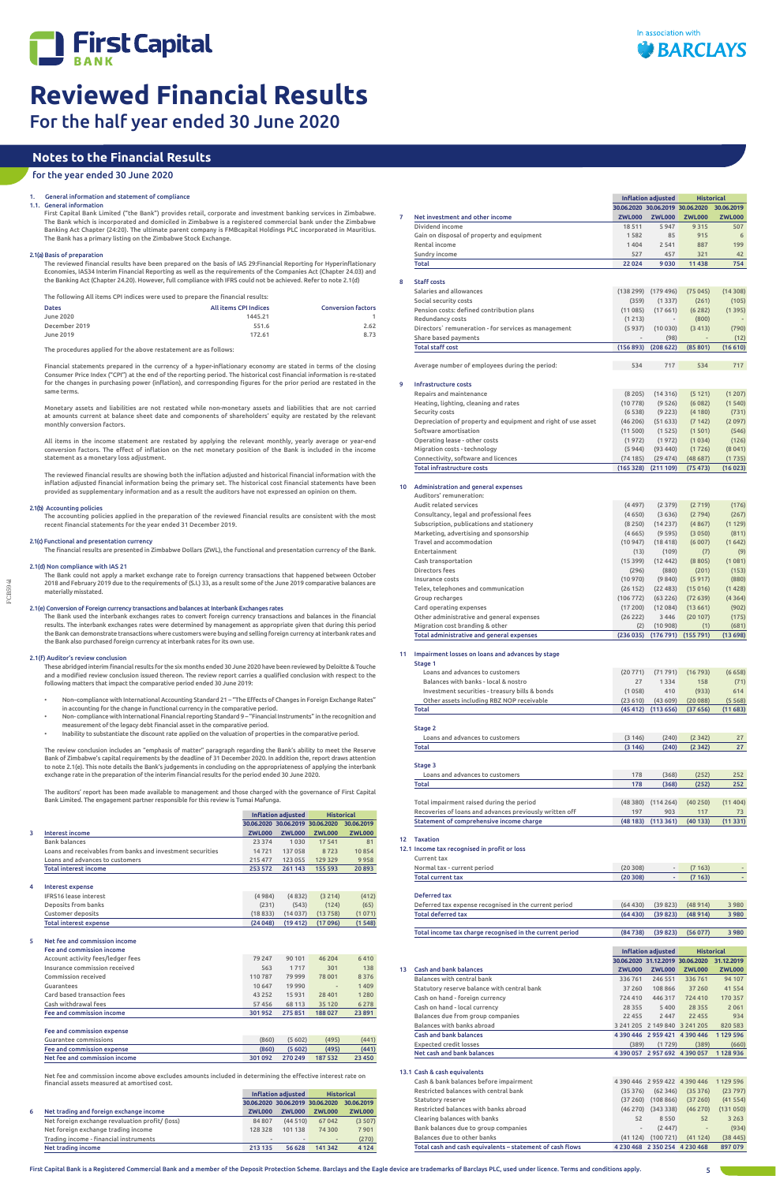

FCB5941

1.1. General information

First Capital Bank Limited ("the Bank") provides retail, corporate and investment banking services in Zimbabwe. The Bank which is incorporated and domiciled in Zimbabwe is a registered commercial bank under the Zimbabwe Banking Act Chapter (24:20). The ultimate parent company is FMBcapital Holdings PLC incorporated in Mauritius. The Bank has a primary listing on the Zimbabwe Stock Exchange.

## 2.1(a) Basis of preparation

The reviewed financial results have been prepared on the basis of IAS 29:Financial Reporting for Hyperinflationary Economies, IAS34 Interim Financial Reporting as well as the requirements of the Companies Act (Chapter 24.03) and the Banking Act (Chapter 24.20). However, full compliance with IFRS could not be achieved. Refer to note 2.1(d)

The following All items CPI indices were used to prepare the financial results:

| <b>Dates</b>  | <b>All items CPI Indices</b> | <b>Conversion factors</b> |
|---------------|------------------------------|---------------------------|
| June 2020     | 1445.21                      |                           |
| December 2019 | 551.6                        | 2.62                      |
| June 2019     | 172.61                       | 8.73                      |

The procedures applied for the above restatement are as follows:

Financial statements prepared in the currency of a hyper-inflationary economy are stated in terms of the closing Consumer Price Index ("CPI") at the end of the reporting period. The historical cost financial information is re-stated for the changes in purchasing power (inflation), and corresponding figures for the prior period are restated in the same terms.

The Bank used the interbank exchanges rates to convert foreign currency transactions and balances in the financial results. The interbank exchanges rates were determined by management as appropriate given that during this period the Bank can demonstrate transactions where customers were buying and selling foreign currency at interbank rates and<br>the Bank also purchased foreign currency at interbank rates for its own use.

Monetary assets and liabilities are not restated while non-monetary assets and liabilities that are not carried at amounts current at balance sheet date and components of shareholders' equity are restated by the relevant monthly conversion factors.

All items in the income statement are restated by applying the relevant monthly, yearly average or year-end conversion factors. The effect of inflation on the net monetary position of the Bank is included in the income statement as a monetary loss adjustment.

The reviewed financial results are showing both the inflation adjusted and historical financial information with the inflation adjusted financial information being the primary set. The historical cost financial statements have been provided as supplementary information and as a result the auditors have not expressed an opinion on them.

## 2.1(b) Accounting policies

The accounting policies applied in the preparation of the reviewed financial results are consistent with the most recent financial statements for the year ended 31 December 2019.

## 2.1(c) Functional and presentation currency

The financial results are presented in Zimbabwe Dollars (ZWL), the functional and presentation currency of the Bank.

## 2.1(d) Non compliance with IAS 21

The Bank could not apply a market exchange rate to foreign currency transactions that happened between October 2018 and February 2019 due to the requirements of (S.I.) 33, as a result some of the June 2019 comparative balances are materially misstated.

## 2.1(e) Conversion of Foreign currency transactions and balances at Interbank Exchanges rates

## 2.1(f) Auditor's review conclusion

These abridged interim financial results for the six months ended 30 June 2020 have been reviewed by Deloitte & Touche and a modified review conclusion issued thereon. The review report carries a qualified conclusion with respect to the following matters that impact the comparative period ended 30 June 2019:

- Non–compliance with International Accounting Standard 21 "The Effects of Changes in Foreign Exchange Rates" in accounting for the change in functional currency in the comparative period. • Non- compliance with International Financial reporting Standard 9 – "Financial Instruments" in the recognition and
- measurement of the legacy debt financial asset in the comparative period.
- Inability to substantiate the discount rate applied on the valuation of properties in the comparative period.

The review conclusion includes an "emphasis of matter" paragraph regarding the Bank's ability to meet the Reserve Bank of Zimbabwe's capital requirements by the deadline of 31 December 2020. In addition the, report draws attention to note 2.1(e). This note details the Bank's judgements in concluding on the appropriateness of applying the interbank exchange rate in the preparation of the interim financial results for the period ended 30 June 2020.

> Current tax Normal tax - current period (20 308) - (7 163) - Total current tax (20 308) (7 163) Deferred tax Deferred tax expense recognised in the current period (64 430) (39 823) (48 914) 3 980 Total deferred tax (64 430) (39 823) (48 914) 3 980 Total income tax charge recognised in the current period (84 738) (39 823) (56 077) 3 980



## 5 Net fee and commission incom

The auditors' report has been made available to management and those charged with the governance of First Capital Bank Limited. The engagement partner responsible for this review is Tumai Mafunga.

|   |                                                            | Inflation adjusted |                                  | <b>Historical</b> |               |
|---|------------------------------------------------------------|--------------------|----------------------------------|-------------------|---------------|
|   |                                                            |                    | 30.06.2020 30.06.2019 30.06.2020 |                   | 30.06.2019    |
| 3 | Interest income                                            | <b>ZWL000</b>      | <b>ZWL000</b>                    | <b>ZWL000</b>     | <b>ZWL000</b> |
|   | <b>Bank balances</b>                                       | 23 374             | 1030                             | 17 541            | 81            |
|   | Loans and receivables from banks and investment securities | 14721              | 137 058                          | 8723              | 10854         |
|   | Loans and advances to customers                            | 215 477            | 123 055                          | 129 329           | 9958          |
|   | <b>Total interest income</b>                               | 253 572            | 261 143                          | 155 593           | 20893         |
|   |                                                            |                    |                                  |                   |               |
| 4 | Interest expense                                           |                    |                                  |                   |               |
|   | <b>IFRS16 lease interest</b>                               | (4984)             | (4832)                           | (3 214)           | (412)         |
|   | Deposits from banks                                        | (231)              | (543)                            | (124)             | (65)          |
|   | <b>Customer deposits</b>                                   | (18833)            | (14037)                          | (13758)           | (1071)        |

## Fee and commission income

| Fee and commission income         | 301952   | 275851 | 188 027                  | 23 8 91 |
|-----------------------------------|----------|--------|--------------------------|---------|
| Cash withdrawal fees              | 57456    | 68 113 | 35 120                   | 6 2 7 8 |
| Card based transaction fees       | 43 2 5 2 | 15931  | 28 401                   | 1280    |
| Guarantees                        | 10 647   | 19 990 | $\overline{\phantom{a}}$ | 1409    |
| <b>Commission received</b>        | 110 787  | 79 999 | 78 001                   | 8376    |
| Insurance commission received     | 563      | 1717   | 301                      | 138     |
| Account activity fees/ledger fees | 79 247   | 90 101 | 46 204                   | 6410    |
|                                   |          |        |                          |         |

Total interest expense (24 048) (19 412) (17 096) (1548)

## Fee and commission expense

| Guarantee commissions         | (860)   | (5602)  | (495)   | (441)   |
|-------------------------------|---------|---------|---------|---------|
| Fee and commission expense    | (860)   | (5602)  | (495)   | (441)   |
| Net fee and commission income | 301 092 | 270 249 | 187 532 | 23 4 50 |

Net fee and commission income above excludes amounts included in determining the effective interest rate on financial assets measured at amortised cost.

|   |                                                 | Inflation adjusted       |                                  | <b>Historical</b>            |               |
|---|-------------------------------------------------|--------------------------|----------------------------------|------------------------------|---------------|
|   |                                                 |                          | 30.06.2020 30.06.2019 30.06.2020 |                              | 30.06.2019    |
| 6 | Net trading and foreign exchange income         | <b>ZWL000</b>            | <b>ZWL000</b>                    | <b>ZWL000</b>                | <b>ZWL000</b> |
|   | Net foreign exchange revaluation profit/ (loss) | 84 807                   | (44510)                          | 67 042                       | (3507)        |
|   | Net foreign exchange trading income             | 128 328                  | 101 138                          | 74 300                       | 7901          |
|   | Trading income - financial instruments          | $\overline{\phantom{a}}$ |                                  | $\qquad \qquad \blacksquare$ | (270)         |
|   | Net trading income                              | 213 135                  | 56 628                           | 141 342                      | 4 1 2 4       |

## **Notes to the Financial Results**

## for the year ended 30 June 2020

## General information and statement of compliance

|    |                                                                                                     |                                  | <b>Inflation adjusted</b> | <b>Historical</b>        |                |
|----|-----------------------------------------------------------------------------------------------------|----------------------------------|---------------------------|--------------------------|----------------|
|    |                                                                                                     | 30.06.2020 30.06.2019 30.06.2020 |                           |                          | 30.06.2019     |
| 7  | Net investment and other income                                                                     | <b>ZWL000</b>                    | <b>ZWL000</b>             | <b>ZWL000</b>            | <b>ZWL000</b>  |
|    | Dividend income                                                                                     | 18511                            | 5947                      | 9315                     | 507            |
|    | Gain on disposal of property and equipment                                                          | 1582                             | 85                        | 915                      | 6              |
|    | Rental income                                                                                       | 1404                             | 2 5 4 1                   | 887                      | 199            |
|    | Sundry income<br>Total                                                                              | 527<br>22 0 24                   | 457                       | 321                      | 42<br>754      |
|    |                                                                                                     |                                  | 9030                      | 11438                    |                |
| 8  | <b>Staff costs</b>                                                                                  |                                  |                           |                          |                |
|    | Salaries and allowances                                                                             | (138 299)                        | (179496)                  | (75045)                  | (14308)        |
|    | Social security costs                                                                               | (359)                            | (1337)                    | (261)                    | (105)          |
|    | Pension costs: defined contribution plans                                                           | (11085)                          | (17661)                   | (6282)                   | (1395)         |
|    | Redundancy costs                                                                                    | (1213)                           |                           | (800)                    |                |
|    | Directors` remuneration - for services as management                                                | (5937)                           | (10030)                   | (3413)                   | (790)          |
|    | Share based payments                                                                                |                                  | (98)                      | $\overline{\phantom{a}}$ | (12)           |
|    | <b>Total staff cost</b>                                                                             | (156 893)                        | (208622)                  | (85 801)                 | (16610)        |
|    |                                                                                                     |                                  |                           |                          |                |
|    | Average number of employees during the period:                                                      | 534                              | 717                       | 534                      | 717            |
|    |                                                                                                     |                                  |                           |                          |                |
| 9  | <b>Infrastructure costs</b>                                                                         |                                  |                           |                          |                |
|    | Repairs and maintenance                                                                             | (8205)                           | (14316)                   | (5121)                   | (1 207)        |
|    | Heating, lighting, cleaning and rates                                                               | (10778)                          | (9526)                    | (6082)                   | (1540)         |
|    | Security costs                                                                                      | (6538)                           | (9 223)                   | (4180)                   | (731)          |
|    | Depreciation of property and equipment and right of use asset<br>Software amortisation              | (46206)<br>(11500)               | (51633)<br>(1525)         | (7142)                   | (2097)         |
|    | Operating lease - other costs                                                                       | (1972)                           | (1972)                    | (1501)<br>(1034)         | (546)<br>(126) |
|    | Migration costs - technology                                                                        | (5 944)                          | (93 440)                  | (1726)                   | (8041)         |
|    | Connectivity, software and licences                                                                 | (74185)                          | (29 474)                  | (48687)                  | (1735)         |
|    | <b>Total infrastructure costs</b>                                                                   | (165 328)                        | (211109)                  | (75473)                  | (16023)        |
|    |                                                                                                     |                                  |                           |                          |                |
| 10 | Administration and general expenses                                                                 |                                  |                           |                          |                |
|    | Auditors' remuneration:                                                                             |                                  |                           |                          |                |
|    | Audit related services                                                                              | (4497)                           | (2379)                    | (2719)                   | (176)          |
|    | Consultancy, legal and professional fees                                                            | (4650)                           | (3636)                    | (2794)                   | (267)          |
|    | Subscription, publications and stationery                                                           | (8250)                           | (14237)                   | (4867)                   | (1129)         |
|    | Marketing, advertising and sponsorship                                                              | (4665)                           | (9595)                    | (3050)                   | (811)          |
|    | Travel and accommodation                                                                            | (10947)                          | (18418)                   | (6007)                   | (1642)         |
|    | Entertainment                                                                                       | (13)                             | (109)                     | (7)                      | (9)            |
|    | Cash transportation                                                                                 | (15399)                          | (12442)                   | (8805)                   | (1081)         |
|    | Directors fees                                                                                      | (296)                            | (880)                     | (201)                    | (153)          |
|    | Insurance costs                                                                                     | (10970)                          | (9840)                    | (5917)                   | (880)          |
|    | Telex, telephones and communication                                                                 | (26 152)                         | (22 483)                  | (15016)                  | (1428)         |
|    | Group recharges                                                                                     | (106 772)                        | (63226)                   | (72639)                  | (4364)         |
|    | Card operating expenses                                                                             | (17200)                          | (12084)<br>3446           | (13661)                  | (902)          |
|    | Other administrative and general expenses<br>Migration cost branding & other                        | (26 222)<br>(2)                  | (10908)                   | (20107)<br>(1)           | (175)<br>(681) |
|    | Total administrative and general expenses                                                           | (236035)                         | (176791)                  | (155791)                 | (13698)        |
|    |                                                                                                     |                                  |                           |                          |                |
| 11 | Impairment losses on loans and advances by stage                                                    |                                  |                           |                          |                |
|    | Stage 1                                                                                             |                                  |                           |                          |                |
|    | Loans and advances to customers                                                                     | (20771)                          | (71791)                   | (16793)                  | (6658)         |
|    | Balances with banks - local & nostro                                                                | 27                               | 1334                      | 158                      | (71)           |
|    | Investment securities - treasury bills & bonds                                                      | (1058)                           | 410                       | (933)                    | 614            |
|    | Other assets including RBZ NOP receivable                                                           | (23610)                          | (43609)                   | (20088)                  | (5568)         |
|    | Total                                                                                               | (45 412)                         | (113656)                  | (37656)                  | (11683)        |
|    |                                                                                                     |                                  |                           |                          |                |
|    | Stage 2                                                                                             |                                  |                           |                          |                |
|    | Loans and advances to customers                                                                     | (3146)                           | (240)                     | (2342)                   | 27             |
|    | Total                                                                                               | (3146)                           | (240)                     | (2342)                   | 27             |
|    |                                                                                                     |                                  |                           |                          |                |
|    | Stage 3                                                                                             |                                  |                           |                          |                |
|    | Loans and advances to customers                                                                     | 178                              | (368)                     | (252)                    | 252            |
|    | Total                                                                                               | 178                              | (368)                     | (252)                    | 252            |
|    | Total impairment raised during the period                                                           |                                  |                           |                          |                |
|    |                                                                                                     | (48 380)                         | (114264)                  | (40250)                  | (11404)        |
|    |                                                                                                     |                                  |                           |                          |                |
|    | Recoveries of loans and advances previously written off<br>Statement of comprehensive income charge | 197<br>(48183)                   | 903<br>(113361)           | 117<br>(40 133)          | 73<br>(11331)  |

|    |                                             | <b>Inflation adjusted</b> |                                  | <b>Historical</b> |               |
|----|---------------------------------------------|---------------------------|----------------------------------|-------------------|---------------|
|    |                                             |                           | 30.06.2020 31.12.2019 30.06.2020 |                   | 31.12.2019    |
| 13 | <b>Cash and bank balances</b>               | <b>ZWL000</b>             | <b>ZWL000</b>                    | <b>ZWL000</b>     | <b>ZWL000</b> |
|    | Balances with central bank                  | 336 761                   | 246 551                          | 336761            | 94 107        |
|    | Statutory reserve balance with central bank | 37 260                    | 108 866                          | 37 260            | 41 5 5 4      |
|    | Cash on hand - foreign currency             | 724 410                   | 446 317                          | 724 410           | 170 357       |
|    | Cash on hand - local currency               | 28 3 5 5                  | 5400                             | 28 3 5 5          | 2061          |
|    | Balances due from group companies           | 22 455                    | 2 4 4 7                          | 22 455            | 934           |
|    | Balances with banks abroad                  | 3 241 205                 | 2 149 840                        | 3 241 205         | 820 583       |
|    | <b>Cash and bank balances</b>               |                           | 4 390 446 2 959 421              | 4 3 9 0 4 4 6     | 1129596       |
|    | <b>Expected credit losses</b>               | (389)                     | (1729)                           | (389)             | (660)         |
|    | Net cash and bank balances                  | 4 390 057                 | 2957692                          | 4 3 9 0 0 5 7     | 1128936       |

## 13.1 Cash & cash equivalents

| Cash & bank balances before impairment                    |                              | 4 390 446 2 959 422 4 390 446 |                          | 1 1 29 5 9 6 |
|-----------------------------------------------------------|------------------------------|-------------------------------|--------------------------|--------------|
| Restricted balances with central bank                     | (35376)                      | (62346)                       | (35376)                  | (23797)      |
| Statutory reserve                                         | (37260)                      | (108866)                      | (37260)                  | (41554)      |
| Restricted balances with banks abroad                     | (46270)                      | (343338)                      | (46270)                  | (131050)     |
| Clearing balances with banks                              | 52                           | 8550                          | 52                       | 3 2 6 3      |
| Bank balances due to group companies                      | $\qquad \qquad \blacksquare$ | (2.447)                       | $\overline{\phantom{a}}$ | (934)        |
| Balances due to other banks                               | (41124)                      | (100721)                      | (41124)                  | (38445)      |
| Total cash and cash equivalents - statement of cash flows |                              | 4 230 468 2 350 254 4 230 468 |                          | 897079       |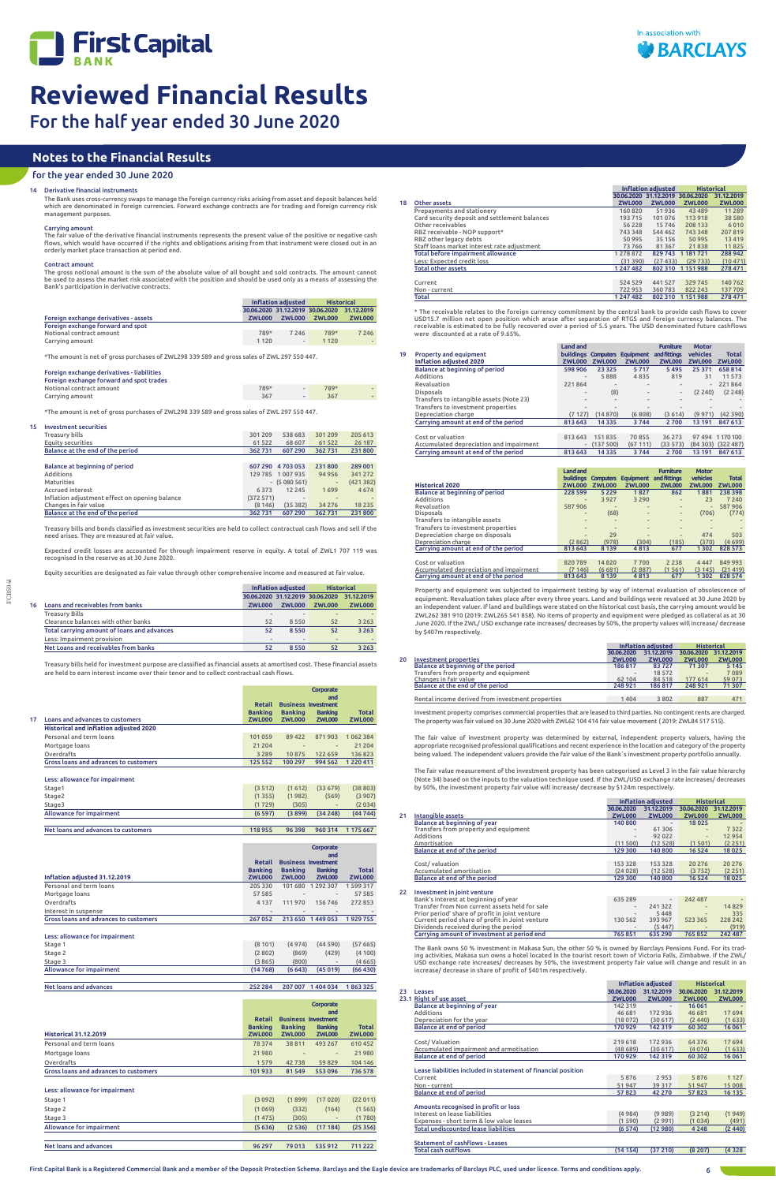

FCB5941

The Bank uses cross-currency swaps to manage the foreign currency risks arising from asset and deposit balances held<br>which are denominated in foreign currencies. Forward exchange contracts are for trading and foreign curre management purposes.

## Carrying amoun

## 14 Derivative financial instruments

The fair value of the derivative financial instruments represents the present value of the positive or negative cash flows, which would have occurred if the rights and obligations arising from that instrument were closed out in an orderly market place transaction at period end.

Carrying amount 367 - 367 - 367 - 367 - 367 - 367 - 367 - 367 - 367 - 367 - 367 - 367 - 367 - 367 - 367 - 367 - 367 - 367 - 367 - 367 - 367 - 367 - 367 - 367 - 367 - 367 - 367 - 367 - 367 - 368 - 368 - 369 - 368 - 369 - 36 \*The amount is net of gross purchases of ZWL298 339 589 and gross sales of ZWL 297 550 447.

## Contract amount

The gross notional amount is the sum of the absolute value of all bought and sold contracts. The amount cannot be used to assess the market risk associated with the position and should be used only as a means of assessing the Bank's participation in derivative contracts.

|                                       | Inflation adjusted               |                | <b>Historical</b> |               |
|---------------------------------------|----------------------------------|----------------|-------------------|---------------|
|                                       | 30.06.2020 31.12.2019 30.06.2020 |                |                   | 31.12.2019    |
| Foreign exchange derivatives - assets | <b>ZWL000</b>                    | <b>ZWL000</b>  | <b>ZWL000</b>     | <b>ZWL000</b> |
| Foreign exchange forward and spot     |                                  |                |                   |               |
| Notional contract amount              | 789*                             | 7 2 4 6        | 789*              | 7 2 4 6       |
| Carrving amount                       | 1 1 2 0                          | $\overline{a}$ | 1 1 2 0           |               |

\*The amount is net of gross purchases of ZWL298 339 589 and gross sales of ZWL 297 550 447.

## Foreign exchange derivatives - liabilities

## Foreign exchange forward and spot trades

Notional contract amount 789\* - 789\* -

## 15 Investment securities

| Treasury bills                                 | 301 209   | 538 683           | 301 209                  | 205 613  |
|------------------------------------------------|-----------|-------------------|--------------------------|----------|
| Equity securities                              | 61 522    | 68 607            | 61 522                   | 26 187   |
| Balance at the end of the period               | 362 731   | 607 290           | 362 731                  | 231800   |
|                                                |           |                   |                          |          |
| Balance at beginning of period                 |           | 607 290 4 703 053 | 231 800                  | 289 001  |
| Additions                                      |           | 129 785 1 007 935 | 94 95 6                  | 341 272  |
| Maturities                                     |           | $-$ (5 080 561)   | $\overline{\phantom{0}}$ | (421382) |
| <b>Accrued interest</b>                        | 6373      | 12 2 4 5          | 1699                     | 4674     |
| Inflation adjustment effect on opening balance | (372 571) | $\sim$            |                          |          |
| Changes in fair value                          | (8146)    | (35382)           | 34 276                   | 18 2 3 5 |
| Balance at the end of the period               | 362 731   | 607 290           | 362731                   | 231800   |

Treasury bills and bonds classified as investment securities are held to collect contractual cash flows and sell if the need arises. They are measured at fair value.

Expected credit losses are accounted for through impairment reserve in equity. A total of ZWL1 707 119 was recognised in the reserve as at 30 June 2020.

Equity securities are designated as fair value through other comprehensive income and measured at fair value.

|    |                                             |               | Inflation adjusted               | <b>Historical</b> |                |
|----|---------------------------------------------|---------------|----------------------------------|-------------------|----------------|
|    |                                             |               | 30.06.2020 31.12.2019 30.06.2020 |                   | 31.12.2019     |
| 16 | Loans and receivables from banks            | <b>ZWL000</b> | <b>ZWL000</b>                    | <b>ZWL000</b>     | <b>ZWL000</b>  |
|    | <b>Treasury Bills</b>                       | ۰             |                                  |                   |                |
|    | Clearance balances with other banks         | 52            | 8550                             | 52                | 3 2 6 3        |
|    | Total carrving amount of loans and advances | 52            | 8550                             | 52                | 3 2 6 3        |
|    | Less: Impairment provision                  | $\frac{1}{2}$ | $\sim$                           |                   | $\overline{a}$ |
|    | Net Loans and receivables from banks        | 52            | 8550                             | 52                | 3 2 6 3        |
|    |                                             |               |                                  |                   |                |

Treasury bills held for investment purpose are classified as financial assets at amortised cost. These financial assets are held to earn interest income over their tenor and to collect contractual cash flows.

|    |                                               | <b>Retail</b><br><b>Banking</b> | <b>Business Investment</b><br><b>Banking</b> | Corporate<br>and<br><b>Banking</b> | <b>Total</b>  |
|----|-----------------------------------------------|---------------------------------|----------------------------------------------|------------------------------------|---------------|
| 17 | Loans and advances to customers               | <b>ZWL000</b>                   | <b>ZWL000</b>                                | <b>ZWL000</b>                      | <b>ZWL000</b> |
|    | <b>Historical and inflation adjusted 2020</b> |                                 |                                              |                                    |               |
|    | Personal and term loans                       | 101 059                         | 89 422                                       | 871903                             | 1062384       |
|    | Mortgage loans                                | 21 204                          | $\overline{a}$                               | $\overline{a}$                     | 21 204        |
|    | Overdrafts                                    | 3 2 8 9                         | 10875                                        | 122 659                            | 136823        |
|    | Gross loans and advances to customers         | 125 552                         | 100 297                                      | 994 562                            | 1220411       |
|    | Less: allowance for impairment                |                                 |                                              |                                    |               |

| Stage1                   | (3 512) | (1612) | (33679) | (38803) |
|--------------------------|---------|--------|---------|---------|
| Stage2                   | (1355)  | (1982) | (569)   | (3907)  |
| Stage3                   | (1729)  | (305)  |         | (2034)  |
| Allowance for impairment | (6597)  | (3899) | (34248) | (4474)  |
|                          |         |        |         |         |

Net loans and advances to customers 118 955 96 398 960 314 1 175 667

| Inflation adjusted 31.12.2019         | <b>Retail</b><br><b>Banking</b><br><b>ZWL000</b> | <b>Banking</b><br><b>ZWL000</b> | Corporate<br>and<br><b>Business Investment</b><br><b>Banking</b><br><b>ZWL000</b> | <b>Total</b><br><b>ZWL000</b> |
|---------------------------------------|--------------------------------------------------|---------------------------------|-----------------------------------------------------------------------------------|-------------------------------|
| Personal and term loans               | 205 330                                          | 101 680                         | 1 292 307                                                                         | 1599317                       |
| Mortgage loans                        | 57 585                                           | ۰                               | $\qquad \qquad =$                                                                 | 57 585                        |
| Overdrafts                            | 4 1 3 7                                          | 111970                          | 156 746                                                                           | 272853                        |
| Interest in suspense                  | ۰                                                |                                 |                                                                                   |                               |
| Gross loans and advances to customers | 267 052                                          | 213 650                         | 1449053                                                                           | 1929755                       |

### Less: allowance for impairment

| Stage 1                  | (8101)  | (4974) | (44590)                  | (57665)  |
|--------------------------|---------|--------|--------------------------|----------|
| Stage 2                  | (2802)  | (869)  | (429)                    | (4100)   |
| Stage 3                  | (3865)  | (800)  | $\overline{\phantom{a}}$ | (4665)   |
| Allowance for impairment | (14768) | (6643) | (45019)                  | (66 430) |

|  | Net loans and advances | 252 284 |  | 207 007 1 404 034 1 863 325 |  |
|--|------------------------|---------|--|-----------------------------|--|
|--|------------------------|---------|--|-----------------------------|--|

|                                       | Retail<br><b>Banking</b> | <b>Banking</b>               | Corporate<br>and<br><b>Business Investment</b><br><b>Banking</b> | <b>Total</b>  |
|---------------------------------------|--------------------------|------------------------------|------------------------------------------------------------------|---------------|
| <b>Historical 31.12.2019</b>          | <b>ZWL000</b>            | <b>ZWL000</b>                | <b>ZWL000</b>                                                    | <b>ZWL000</b> |
| Personal and term loans               | 78 374                   | 38811                        | 493 267                                                          | 610452        |
| Mortgage loans                        | 21 980                   | $\qquad \qquad \blacksquare$ | $\overline{\phantom{a}}$                                         | 21980         |
| Overdrafts                            | 1579                     | 42738                        | 59829                                                            | 104 146       |
| Gross loans and advances to customers | 101933                   | 81 549                       | 553 096                                                          | 736 578       |

## Less: allowance for impairment

| Stage 1                  | (3092) | (1899) | (17020) | (22011) |
|--------------------------|--------|--------|---------|---------|
| Stage 2                  | (1069) | (332)  | (164)   | (1565)  |
| Stage 3                  | (1475) | (305)  |         | (1780)  |
| Allowance for impairment | (5636) | (2536) | (17184) | (25356) |
|                          |        |        |         |         |
| Net loans and advances   | 96 297 | 79 013 | 535 912 | 711 222 |

|    |                                          | <b>Land and</b>              |                     |                  | <b>Furniture</b>         | <b>Motor</b>             |               |
|----|------------------------------------------|------------------------------|---------------------|------------------|--------------------------|--------------------------|---------------|
| 19 | <b>Property and equipment</b>            |                              | buildings Computers | <b>Equipment</b> | and fittings             | vehicles                 | <b>Total</b>  |
|    | <b>Inflation adiusted 2020</b>           | <b>ZWL000</b>                | <b>ZWL000</b>       | <b>ZWL000</b>    | <b>ZWL000</b>            | <b>ZWL000</b>            | <b>ZWL000</b> |
|    | Balance at beginning of period           | 598 906                      | 23 3 25             | 5717             | 5495                     | 25 371                   | 658 814       |
|    | Additions                                | -                            | 5888                | 4835             | 819                      | 31                       | 11 573        |
|    | Revaluation                              | 221864                       | $\overline{a}$      | ۰                | -                        | -                        | 221864        |
|    | <b>Disposals</b>                         | $\overline{a}$               | (8)                 |                  | $\overline{\phantom{0}}$ | (2, 240)                 | (2, 248)      |
|    | Transfers to intangible assets (Note 23) | $\frac{1}{2}$                | ٠                   | ۰                | $\overline{\phantom{a}}$ | $\overline{\phantom{a}}$ |               |
|    | Transfers to investment properties       | $\qquad \qquad \blacksquare$ | $\overline{a}$      |                  |                          |                          |               |
|    | Depreciation charge                      | (7127)                       | (14870)             | (6808)           | (3614)                   | (9971)                   | (42390)       |
|    | Carrying amount at end of the period     | 813 643                      | 14 3 3 5            | 3744             | 2700                     | 13 191                   | 847 613       |
|    |                                          |                              |                     |                  |                          |                          |               |
|    | Cost or valuation                        | 813 643                      | 151835              | 70855            | 36 273                   | 97 494                   | 1170100       |
|    | Accumulated depreciation and impairment  |                              | (137500)            | (67111)          | (33573)                  | (84303)                  | (322 487)     |
|    | Carrying amount at end of the period     | 813 643                      | 14 3 3 5            | 3744             | 2700                     | 13 191                   | 847 613       |

\* The receivable relates to the foreign currency commitment by the central bank to provide cash flows to cover<br>USD15.7 million net open position which arose after separation of RTGS and foreign currency balances. The<br>recei were discounted at a rate of 9.65%.

|                                         | <b>Land and</b><br><b>buildings</b> | <b>Computers</b>         | <b>Equipment</b>         | <b>Furniture</b><br>and fittings | <b>Motor</b><br>vehicles | <b>Total</b>  |
|-----------------------------------------|-------------------------------------|--------------------------|--------------------------|----------------------------------|--------------------------|---------------|
| <b>Historical 2020</b>                  | <b>ZWL000</b>                       | <b>ZWL000</b>            | <b>ZWL000</b>            | <b>ZWL000</b>                    | <b>ZWL000</b>            | <b>ZWL000</b> |
| Balance at beginning of period          | 228 599                             | 5 2 2 9                  | 1827                     | 862                              | 1881                     | 238 398       |
| Additions                               | $\frac{1}{2}$                       | 3 9 2 7                  | 3 2 9 0                  | $\overline{\phantom{0}}$         | 23                       | 7 2 4 0       |
| Revaluation                             | 587 906                             |                          | $\overline{a}$           | $\overline{\phantom{0}}$         |                          | 587906        |
| <b>Disposals</b>                        | $\qquad \qquad \blacksquare$        | (68)                     | $\frac{1}{2}$            | $\overline{\phantom{0}}$         | (706)                    | (774)         |
| Transfers to intangible assets          |                                     |                          | $\sim$                   | $\overline{\phantom{0}}$         |                          |               |
| Transfers to investment properties      | $\overline{\phantom{a}}$            | $\overline{\phantom{a}}$ | $\overline{\phantom{a}}$ | $\overline{\phantom{0}}$         |                          |               |
| Depreciation charge on disposals        | $\overline{a}$                      | 29                       | $\qquad \qquad$          | $\overline{\phantom{0}}$         | 474                      | 503           |
| Depreciation charge                     | (2862)                              | (978)                    | (304)                    | (185)                            | (370)                    | (4699)        |
| Carrying amount at end of the period    | 813 643                             | 8 1 3 9                  | 4813                     | 677                              | 1302                     | 828 573       |
|                                         |                                     |                          |                          |                                  |                          |               |
| Cost or valuation                       | 820789                              | 14820                    | 7700                     | 2 2 3 8                          | 4 4 4 7                  | 849 993       |
| Accumulated depreciation and impairment | (7146)                              | (6681)                   | (2887)                   | (1561)                           | (3145)                   | (21419)       |
| Carrying amount at end of the period    | 813 643                             | 8 1 3 9                  | 4813                     | 677                              | 1302                     | 828 574       |

Property and equipment was subjected to impairment testing by way of internal evaluation of obsolescence of equipment. Revaluation takes place after every three years. Land and buildings were revalued at 30 June 2020 by an independent valuer. If land and buildings were stated on the historical cost basis, the carrying amount would be ZWL262 381 910 (2019: ZWL265 541 858). No items of property and equipment were pledged as collateral as at 30 June 2020. If the ZWL/ USD exchange rate increases/ decreases by 50%, the property values will increase/ decrease by \$407m respectively.

## **Notes to the Financial Results**

## for the year ended 30 June 2020

|    |                                                  |               | Inflation adjusted |                              | <b>Historical</b> |
|----|--------------------------------------------------|---------------|--------------------|------------------------------|-------------------|
|    |                                                  | 30.06.2020    | 31.12.2019         | 30.06.2020                   | 31.12.2019        |
| 20 | <b>Investment properties</b>                     | <b>ZWL000</b> | <b>ZWL000</b>      | <b>ZWL000</b>                | <b>ZWL000</b>     |
|    | Balance at beginning of the period               | 186817        | 83727              | 71 307                       | 5 1 4 5           |
|    | Transfers from property and equipment            |               | 18 5 72            | $\qquad \qquad \blacksquare$ | 7089              |
|    | Changes in fair value                            | 62 104        | 84 5 18            | 177 614                      | 59 0 73           |
|    | Balance at the end of the period                 | 248 921       | 186 817            | 248 921                      | 71307             |
|    |                                                  |               |                    |                              |                   |
|    | Rental income derived from investment properties | 1404          | 3802               | 887                          | 471               |

Investment property comprises commercial properties that are leased to third parties. No contingent rents are charged. The property was fair valued on 30 June 2020 with ZWL62 104 414 fair value movement ( 2019: ZWL84 517 515).

The fair value of investment property was determined by external, independent property valuers, having the appropriate recognised professional qualifications and recent experience in the location and category of the property being valued. The independent valuers provide the fair value of the Bank`s investment property portfolio annually.

The fair value measurement of the investment property has been categorised as Level 3 in the fair value hierarchy (Note 34) based on the inputs to the valuation technique used. If the ZWL/USD exchange rate increases/ decreases by 50%, the investment property fair value will increase/ decrease by \$124m respectively.

|    |                                                 | Inflation adiusted           |                          | <b>Historical</b>        |               |
|----|-------------------------------------------------|------------------------------|--------------------------|--------------------------|---------------|
|    |                                                 | 30.06.2020                   | 31.12.2019               | 30.06.2020               | 31.12.2019    |
| 21 | Intangible assets                               | <b>ZWL000</b>                | <b>ZWL000</b>            | <b>ZWL000</b>            | <b>ZWL000</b> |
|    | Balance at beginning of year                    | 140 800                      | ٠                        | 18 0 25                  |               |
|    | Transfers from property and equipment           |                              | 61 30 6                  | $\overline{a}$           | 7 3 2 2       |
|    | Additions                                       | $\frac{1}{2}$                | 92 0 22                  | $\frac{1}{2}$            | 12 9 54       |
|    | Amortisation                                    | (11500)                      | (12528)                  | (1501)                   | (2251)        |
|    | Balance at end of the period                    | 129 300                      | 140 800                  | 16 5 24                  | 18 0 25       |
|    |                                                 |                              |                          |                          |               |
|    | Cost/valuation                                  | 153 328                      | 153 328                  | 20 27 6                  | 20 27 6       |
|    | Accumulated amortisation                        | (24028)                      | (12528)                  | (3752)                   | (2 251)       |
|    | Balance at end of the period                    | 129 300                      | 140 800                  | 16 5 24                  | 18 0 25       |
|    |                                                 |                              |                          |                          |               |
| 22 | Investment in joint venture                     |                              |                          |                          |               |
|    | Bank's interest at beginning of year            | 635 289                      | $\overline{\phantom{a}}$ | 242 487                  |               |
|    | Transfer from Non current assets held for sale  | $\qquad \qquad \blacksquare$ | 241 322                  | $\overline{\phantom{0}}$ | 14829         |
|    | Prior period' share of profit in joint venture  | $\overline{a}$               | 5448                     | $\overline{a}$           | 335           |
|    | Current period share of profit in Joint venture | 130 562                      | 393 967                  | 523 365                  | 228 242       |
|    | Dividends received during the period            |                              | (5 447)                  |                          | (919)         |
|    | Carrying amount of investment at period end     | 765851                       | 635 290                  | 765 852                  | 242 487       |



The Bank owns 50 % investment in Makasa Sun, the other 50 % is owned by Barclays Pensions Fund. For its trading activities, Makasa sun owns a hotel located in the tourist resort town of Victoria Falls, Zimbabwe. If the ZWL/ USD exchange rate increases/ decreases by 50%, the investment property fair value will change and result in an increase/ decrease in share of profit of \$401m respectively.

|    |                                                               |               | <b>Inflation adjusted</b> | <b>Historical</b> |               |
|----|---------------------------------------------------------------|---------------|---------------------------|-------------------|---------------|
| 23 | Leases                                                        | 30.06.2020    | 31.12.2019                | 30.06.2020        | 31.12.2019    |
|    | 23.1 Right of use asset                                       | <b>ZWL000</b> | <b>ZWL000</b>             | <b>ZWL000</b>     | <b>ZWL000</b> |
|    | Balance at beginning of year                                  | 142 319       | ٠                         | 16 061            |               |
|    | Additions                                                     | 46 681        | 172936                    | 46 681            | 17 694        |
|    | Depreciation for the year                                     | (18072)       | (30617)                   | (2, 440)          | (1633)        |
|    | Balance at end of period                                      | 170929        | 142 319                   | 60 302            | 16 061        |
|    |                                                               |               |                           |                   |               |
|    | Cost/Valuation                                                | 219 618       | 172936                    | 64 3 7 6          | 17 694        |
|    | Accumulated impairment and armotisation                       | (48689)       | (30617)                   | (4074)            | (1633)        |
|    | Balance at end of period                                      | 170 929       | 142 319                   | 60 302            | 16061         |
|    |                                                               |               |                           |                   |               |
|    | Lease liabilities included in statement of financial position |               |                           |                   |               |
|    | Current                                                       | 5876          | 2953                      | 5876              | 1 1 2 7       |
|    | Non - current                                                 | 51 947        | 39 317                    | 51947             | 15 008        |
|    | Balance at end of period                                      | 57823         | 42 270                    | 57823             | 16 135        |
|    |                                                               |               |                           |                   |               |
|    | Amounts recognised in profit or loss                          |               |                           |                   |               |
|    | Interest on lease liabilities                                 | (4984)        | (9989)                    | (3 214)           | (1949)        |
|    | Expenses - short term & low value leases                      | (1 590)       | (2991)                    | (1034)            | (491)         |
|    | <b>Total undiscounted lease liabilities</b>                   | (6574)        | (12 980)                  | 4 2 4 8           | (2440)        |
|    |                                                               |               |                           |                   |               |
|    | <b>Statement of cashflows - Leases</b>                        |               |                           |                   |               |
|    | <b>Total cash outflows</b>                                    | (14 154)      | (37 210)                  | (8207)            | (4328)        |

|    |                                               | Inflation adiusted |                                  | <b>Historical</b> |               |
|----|-----------------------------------------------|--------------------|----------------------------------|-------------------|---------------|
|    |                                               |                    | 30.06.2020 31.12.2019 30.06.2020 |                   | 31.12.2019    |
| 18 | Other assets                                  | <b>ZWL000</b>      | <b>ZWL000</b>                    | <b>ZWL000</b>     | <b>ZWL000</b> |
|    | Prepayments and stationery                    | 160 820            | 51936                            | 43 4 8 9          | 11 2 8 9      |
|    | Card security deposit and settlement balances | 193 715            | 101 076                          | 113 918           | 38 5 80       |
|    | Other receivables                             | 56 228             | 15746                            | 208 133           | 6010          |
|    | RBZ receivable - NOP support*                 | 743 348            | 544 462                          | 743 348           | 207 819       |
|    | RBZ other legacy debts                        | 50 995             | 35 15 6                          | 50 995            | 13 4 19       |
|    | Staff loans market interest rate adjustment   | 73766              | 81367                            | 21838             | 11825         |
|    | Total before impairment allowance             | 1 278 872          | 829743                           | 1 181 721         | 288 942       |
|    | Less: Expected credit loss                    | (31390)            | (27433)                          | (29733)           | (10471)       |
|    | <b>Total other assets</b>                     | 1 247 482          |                                  | 802 310 1 151 988 | 278 471       |
|    |                                               |                    |                                  |                   |               |
|    | Current                                       | 524 529            | 441 527                          | 329745            | 140 762       |
|    | Non - current                                 | 722 953            | 360783                           | 822 243           | 137 709       |
|    | Total                                         | 1 247 482          | 802 310                          | 1151988           | 278 471       |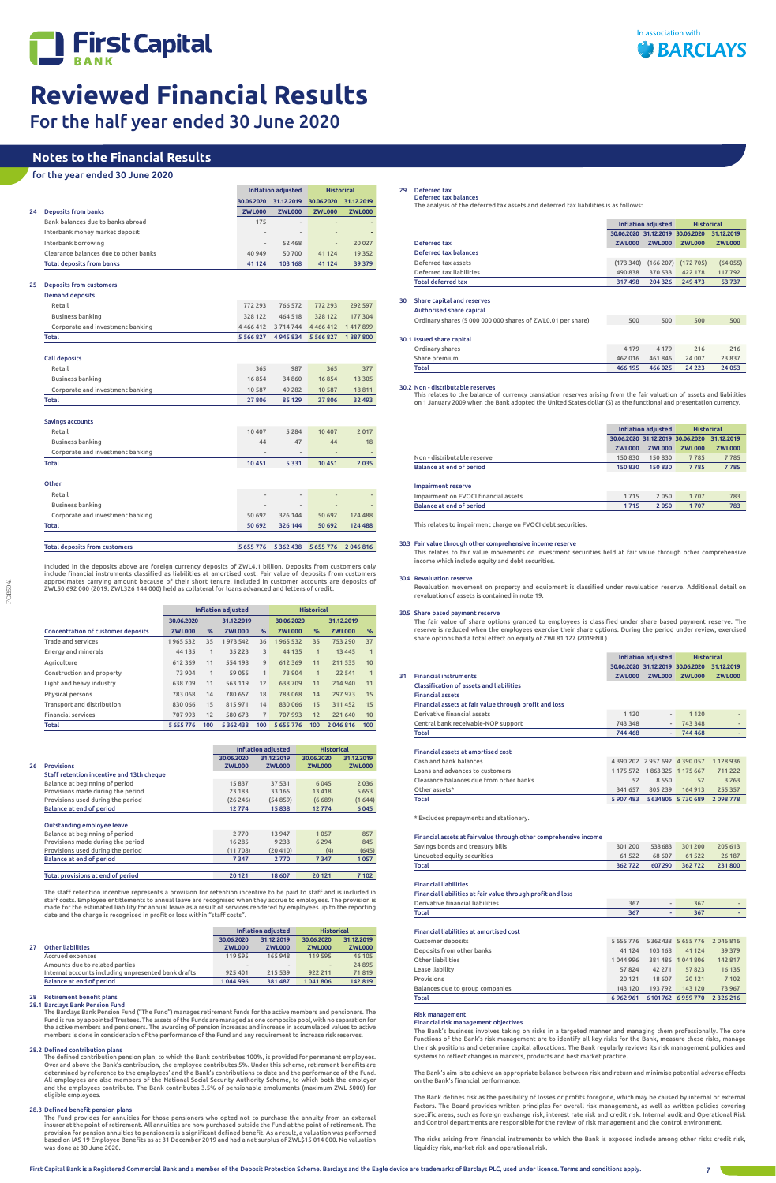

# **Reviewed Financial Results**

For the half year ended 30 June 2020

|    |                                       | <b>Inflation adjusted</b> |                          | <b>Historical</b>        |               |
|----|---------------------------------------|---------------------------|--------------------------|--------------------------|---------------|
|    |                                       | 30.06.2020                | 31.12.2019               | 30.06.2020               | 31.12.2019    |
| 24 | <b>Deposits from banks</b>            | <b>ZWL000</b>             | <b>ZWL000</b>            | <b>ZWL000</b>            | <b>ZWL000</b> |
|    | Bank balances due to banks abroad     | 175                       | $\overline{\phantom{a}}$ | $\overline{\phantom{a}}$ |               |
|    | Interbank money market deposit        | $\overline{\phantom{a}}$  | $\overline{\phantom{a}}$ | $\overline{\phantom{m}}$ |               |
|    | Interbank borrowing                   | $\overline{\phantom{a}}$  | 52 4 68                  | $\frac{1}{2}$            | 20 027        |
|    | Clearance balances due to other banks | 40 949                    | 50700                    | 41 1 24                  | 19 3 5 2      |
|    | <b>Total deposits from banks</b>      | 41 124                    | 103 168                  | 41 1 24                  | 39 379        |
|    |                                       |                           |                          |                          |               |

## 25 Deposits from customers

Included in the deposits above are foreign currency deposits of ZWL4.1 billion. Deposits from customers only include financial instruments classified as liabilities at amortised cost. Fair value of deposits from customers<br>approximates carrying amount because of their short tenure. Included in customer accounts are deposits of<br>ZWL

| <b>Demand deposits</b>               |                              |                |               |         |
|--------------------------------------|------------------------------|----------------|---------------|---------|
| Retail                               | 772 293                      | 766 572        | 772 293       | 292 597 |
| <b>Business banking</b>              | 328 122                      | 464 518        | 328 122       | 177 304 |
| Corporate and investment banking     | 4 4 6 6 4 1 2                | 3714744        | 4466412       | 1417899 |
| <b>Total</b>                         | 5 5 6 6 8 2 7                | 4945834        | 5 5 6 6 8 2 7 | 1887800 |
|                                      |                              |                |               |         |
| <b>Call deposits</b>                 |                              |                |               |         |
| Retail                               | 365                          | 987            | 365           | 377     |
| Business banking                     | 16854                        | 34 860         | 16854         | 13 3 05 |
| Corporate and investment banking     | 10 587                       | 49 282         | 10 5 8 7      | 18811   |
| Total                                | 27 806                       | 85 129         | 27 806        | 32 493  |
|                                      |                              |                |               |         |
| Savings accounts                     |                              |                |               |         |
| Retail                               | 10 407                       | 5 2 8 4        | 10 407        | 2017    |
| <b>Business banking</b>              | 44                           | 47             | 44            | 18      |
| Corporate and investment banking     | $\qquad \qquad \blacksquare$ | $\overline{a}$ |               |         |
| Total                                | 10451                        | 5 3 3 1        | 10 451        | 2035    |
|                                      |                              |                |               |         |
| Other                                |                              |                |               |         |
| Retail                               | $\overline{\phantom{a}}$     |                |               |         |
| <b>Business banking</b>              |                              |                |               |         |
| Corporate and investment banking     | 50 692                       | 326 144        | 50 692        | 124 488 |
| Total                                | 50 692                       | 326 144        | 50 692        | 124 488 |
|                                      |                              |                |               |         |
| <b>Total deposits from customers</b> | 5 655 776                    | 5 3 6 2 4 3 8  | 5 6 5 5 7 7 6 | 2046816 |

|                                           | <b>Inflation adiusted</b> |              |               | <b>Historical</b> |               |              |               |     |
|-------------------------------------------|---------------------------|--------------|---------------|-------------------|---------------|--------------|---------------|-----|
|                                           | 30.06.2020                |              | 31.12.2019    |                   | 30.06.2020    |              | 31.12.2019    |     |
| <b>Concentration of customer deposits</b> | <b>ZWL000</b>             | %            | <b>ZWL000</b> | $\%$              | <b>ZWL000</b> | $\%$         | <b>ZWL000</b> | %   |
| <b>Trade and services</b>                 | 1965 532                  | 35           | 1973542       | 36                | 1965 532      | 35           | 753 290       | 37  |
| Energy and minerals                       | 44 135                    | 1            | 35 2 2 3      | 3                 | 44 135        | 1            | 13 4 45       | 1   |
| Agriculture                               | 612 369                   | 11           | 554 198       | 9                 | 612 369       | 11           | 211 535       | 10  |
| Construction and property                 | 73 904                    | $\mathbf{1}$ | 59 055        | $\mathbf{1}$      | 73 904        | $\mathbf{1}$ | 22 541        | 1   |
| Light and heavy industry                  | 638709                    | 11           | 563 119       | 12                | 638 709       | 11           | 214 940       | 11  |
| Physical persons                          | 783 068                   | 14           | 780 657       | 18                | 783 068       | 14           | 297 973       | 15  |
| Transport and distribution                | 830 066                   | 15           | 815971        | 14                | 830 066       | 15           | 311452        | 15  |
| <b>Financial services</b>                 | 707993                    | 12           | 580 673       | $\overline{7}$    | 707 993       | 12           | 221 640       | 10  |
| Total                                     | 5 655 776                 | 100          | 5 3 6 2 4 3 8 | 100               | 5 655 776     | 100          | 2046816       | 100 |

|                                           |               | <b>Inflation adjusted</b> | <b>Historical</b> |               |
|-------------------------------------------|---------------|---------------------------|-------------------|---------------|
|                                           | 30.06.2020    | 31.12.2019                | 30.06.2020        | 31.12.2019    |
| <b>Provisions</b>                         | <b>ZWL000</b> | <b>ZWL000</b>             | <b>ZWL000</b>     | <b>ZWL000</b> |
| Staff retention incentive and 13th cheque |               |                           |                   |               |
| Balance at beginning of period            | 15837         | 37 531                    | 6045              | 2036          |
| Provisions made during the period         | 23 183        | 33 165                    | 13418             | 5 6 5 3       |
| Provisions used during the period         | (26 246)      | (54859)                   | (6689)            | (1644)        |
| Balance at end of period                  | 12774         | 15838                     | 12774             | 6045          |
| Outstanding employee leave                |               |                           |                   |               |
| Balance at beginning of period            | 2 7 7 0       | 13 947                    | 1057              | 857           |
| Provisions made during the period         | 16 28 5       | 9 2 3 3                   | 6 2 9 4           | 845           |
| Provisions used during the period         | (11708)       | (20 410)                  | (4)               | (645)         |
| Balance at end of period                  | 7347          | 2770                      | 7 3 4 7           | 1057          |
|                                           |               |                           |                   |               |
| Total provisions at end of period         | 20 121        | 18 607                    | 20 12 1           | 7 1 0 2       |

The staff retention incentive represents a provision for retention incentive to be paid to staff and is included in staff costs. Employee entitlements to annual leave are recognised when they accrue to employees. The provision is<br>made for the estimated liability for annual leave as a result of services rendered by employees up to the re date and the charge is recognised in profit or loss within "staff costs".

| <b>Inflation adjusted</b> | <b>Historical</b>   |
|---------------------------|---------------------|
| ---------<br>--------     | -------<br>-------- |

|    |                                                     | 30.06.2020               | 31.12.2019    | 30.06.2020    | 31.12.2019    |
|----|-----------------------------------------------------|--------------------------|---------------|---------------|---------------|
| 27 | <b>Other liabilities</b>                            | <b>ZWL000</b>            | <b>ZWL000</b> | <b>ZWL000</b> | <b>ZWL000</b> |
|    | <b>Accrued expenses</b>                             | 119 595                  | 165 948       | 119 595       | 46 105        |
|    | Amounts due to related parties                      | $\overline{\phantom{a}}$ | $\sim$        | $\sim$        | 24 8 95       |
|    | Internal accounts including unpresented bank drafts | 925 401                  | 215 539       | 922 211       | 71819         |
|    | <b>Balance at end of period</b>                     | 1044996                  | 381 487       | 1041806       | 142819        |

### 28 Retirement benefit plans

### 28.1 Barclays Bank Pension Fund

### 28.2 Defined contribution plans

The Barclays Bank Pension Fund ("The Fund") manages retirement funds for the active members and pensioners. The Fund is run by appointed Trustees. The assets of the Funds are managed as one composite pool, with no separation for the active members and pensioners. The awarding of pension increases and increase in accumulated values to active members is done in consideration of the performance of the Fund and any requirement to increase risk reserves.

### 28.3 Defined benefit pension plans

The defined contribution pension plan, to which the Bank contributes 100%, is provided for permanent employees. Over and above the Bank's contribution, the employee contributes 5%. Under this scheme, retirement benefits are determined by reference to the employees' and the Bank's contributions to date and the performance of the Fund. All employees are also members of the National Social Security Authority Scheme, to which both the employer and the employees contribute. The Bank contributes 3.5% of pensionable emoluments (maximum ZWL 5000) for eligible employees.

The Fund provides for annuities for those pensioners who opted not to purchase the annuity from an external insurer at the point of retirement. All annuities are now purchased outside the Fund at the point of retirement. The provision for pension annuities to pensioners is a significant defined benefit. As a result, a valuation was performed based on IAS 19 Employee Benefits as at 31 December 2019 and had a net surplus of ZWL\$15 014 000. No valuation was done at 30 June 2020.

## **Notes to the Financial Results**

## for the year ended 30 June 2020

## 29 Deferred tax Deferred tax balances

The analysis of the deferred tax assets and deferred tax liabilities is as follows:

|                           |               | Inflation adjusted               |                                  | <b>Historical</b> |
|---------------------------|---------------|----------------------------------|----------------------------------|-------------------|
|                           |               | 30.06.2020 31.12.2019 30.06.2020 |                                  | 31.12.2019        |
| Deferred tax              | <b>ZWL000</b> | ZWL000                           | <b>ZWL000</b>                    | <b>ZWL000</b>     |
| Deferred tax balances     |               |                                  |                                  |                   |
| Deferred tax assets       |               |                                  | $(173340)$ $(166207)$ $(172705)$ | (64055)           |
| Deferred tax liabilities  | 490838        | 370 533                          | 422 178                          | 117 792           |
| <b>Total deferred tax</b> | 317498        | 204 326                          | 249 473                          | 53737             |

In association with

**BARCLAYS** 

## 30 Share capital and reserves

| <b>Authorised share capital</b>                             |     |     |     |     |
|-------------------------------------------------------------|-----|-----|-----|-----|
| Ordinary shares (5 000 000 000 shares of ZWL0.01 per share) | 500 | 500 | 500 | 500 |
|                                                             |     |     |     |     |

## 30.1 Issued share capital

| <b>Total</b>    | 466 195 | 466 025                | 24 2 23 | 24 053 |
|-----------------|---------|------------------------|---------|--------|
| Share premium   |         | 462 016 461 846 24 007 |         | 23 837 |
| Ordinary shares | 4 1 7 9 | 4 1 7 9                | 216     | 216    |

## 30.2 Non - distributable reserves

This relates to the balance of currency translation reserves arising from the fair valuation of assets and liabilities on 1 January 2009 when the Bank adopted the United States dollar (\$) as the functional and presentation currency.

|                                      |                                  | Inflation adjusted |               |               | <b>Historical</b> |  |            |
|--------------------------------------|----------------------------------|--------------------|---------------|---------------|-------------------|--|------------|
|                                      | 30.06.2020 31.12.2019 30.06.2020 |                    |               |               |                   |  | 31.12.2019 |
|                                      | <b>ZWL000</b>                    |                    | <b>ZWL000</b> | <b>ZWL000</b> | <b>ZWL000</b>     |  |            |
| Non - distributable reserve          | 150 830                          |                    | 150830        | 7785          | 7785              |  |            |
| Balance at end of period             | 150830                           |                    | 150830        | 7785          | 7785              |  |            |
| <b>Impairment reserve</b>            |                                  |                    |               |               |                   |  |            |
| Impairment on FVOCI financial assets |                                  | 1715               | 2050          | 1707          | 783               |  |            |
| Balance at end of period             |                                  | 1715               | 2050          | 1707          | 783               |  |            |

This relates to impairment charge on FVOCI debt securities.

## 30.3 Fair value through other comprehensive income reserve

This relates to fair value movements on investment securities held at fair value through other comprehensive income which include equity and debt securities.

## 30.4 Revaluation reserve

Revaluation movement on property and equipment is classified under revaluation reserve. Additional detail on revaluation of assets is contained in note 19.

## 30.5 Share based payment reserve

The fair value of share options granted to employees is classified under share based payment reserve. The reserve is reduced when the employees exercise their share options. During the period under review, exercised share options had a total effect on equity of ZWL81 127 (2019:NIL)

|                                                        |               | Inflation adjusted               |                    | <b>Historical</b>        |  |
|--------------------------------------------------------|---------------|----------------------------------|--------------------|--------------------------|--|
|                                                        |               | 30.06.2020 31.12.2019 30.06.2020 |                    | 31.12.2019               |  |
| <b>Financial instruments</b>                           | <b>ZWL000</b> | <b>ZWL000</b>                    | <b>ZWL000</b>      | <b>ZWL000</b>            |  |
| <b>Classification of assets and liabilities</b>        |               |                                  |                    |                          |  |
| <b>Financial assets</b>                                |               |                                  |                    |                          |  |
| Financial assets at fair value through profit and loss |               |                                  |                    |                          |  |
| Derivative financial assets                            | 1 1 2 0       | $\blacksquare$                   | 1 1 2 0            |                          |  |
| Central bank receivable-NOP support                    | 743 348       | $\overline{\phantom{a}}$         | 743 348            | $\overline{\phantom{m}}$ |  |
| Total                                                  | 744 468       | ٠                                | 744 468            | ٠                        |  |
| <b>Financial assets at amortised cost</b>              |               |                                  |                    |                          |  |
| Cash and bank balances                                 |               | 4 390 202 2 957 692 4 390 057    |                    | 1128936                  |  |
| Loans and advances to customers                        | 1 175 572     |                                  | 1863 325 1 175 667 | 711 222                  |  |
| Clearance balances due from other banks                | 52            | 8550                             | 52                 | 3 2 6 3                  |  |
| Other assets*                                          | 341 657       | 805 239                          | 164 913            | 255 357                  |  |
| Total                                                  | 5907483       |                                  | 5634806 5730689    | 2098778                  |  |

## Financial assets at fair value through other comprehensive income

| Total                            | 362722  |         | 607 290 362 722 | 231800  |
|----------------------------------|---------|---------|-----------------|---------|
| Unguoted equity securities       | 61 522  | 68 607  | 61 522          | 26 187  |
| Savings bonds and treasury bills | 301 200 | 538 683 | 301 200         | 205 613 |

## Financial liabilities

| Financial liabilities at fair value through profit and loss |     |     |  |
|-------------------------------------------------------------|-----|-----|--|
| Derivative financial liabilities                            | 367 | 367 |  |
| Total                                                       | 367 | 367 |  |

Financial liabilities at amortised cost

| Total                           | 6962961   |         | 6 101 762 6 959 770         | 2 3 2 6 2 1 6 |
|---------------------------------|-----------|---------|-----------------------------|---------------|
| Balances due to group companies | 143 120   | 193792  | 143 120                     | 73967         |
| Provisions                      | 20 12 1   | 18 607  | 20 12 1                     | 7 1 0 2       |
| Lease liability                 | 57824     | 42 271  | 57823                       | 16 135        |
| Other liabilities               | 1044996   |         | 381 486 1 041 806           | 142 817       |
| Deposits from other banks       | 41 124    | 103 168 | 41 1 24                     | 39 379        |
| <b>Customer deposits</b>        | 5 655 776 |         | 5 3 6 2 4 3 8 5 6 5 5 7 7 6 | 2 046 816     |

## Risk management

## Financial risk management objectives

The Bank's business involves taking on risks in a targeted manner and managing them professionally. The core functions of the Bank's risk management are to identify all key risks for the Bank, measure these risks, manage the risk positions and determine capital allocations. The Bank regularly reviews its risk management policies and systems to reflect changes in markets, products and best market practice.

The Bank's aim is to achieve an appropriate balance between risk and return and minimise potential adverse effects on the Bank's financial performance.

The Bank defines risk as the possibility of losses or profits foregone, which may be caused by internal or external factors. The Board provides written principles for overall risk management, as well as written policies covering specific areas, such as foreign exchange risk, interest rate risk and credit risk. Internal audit and Operational Risk and Control departments are responsible for the review of risk management and the control environment.

The risks arising from financial instruments to which the Bank is exposed include among other risks credit risk, liquidity risk, market risk and operational risk.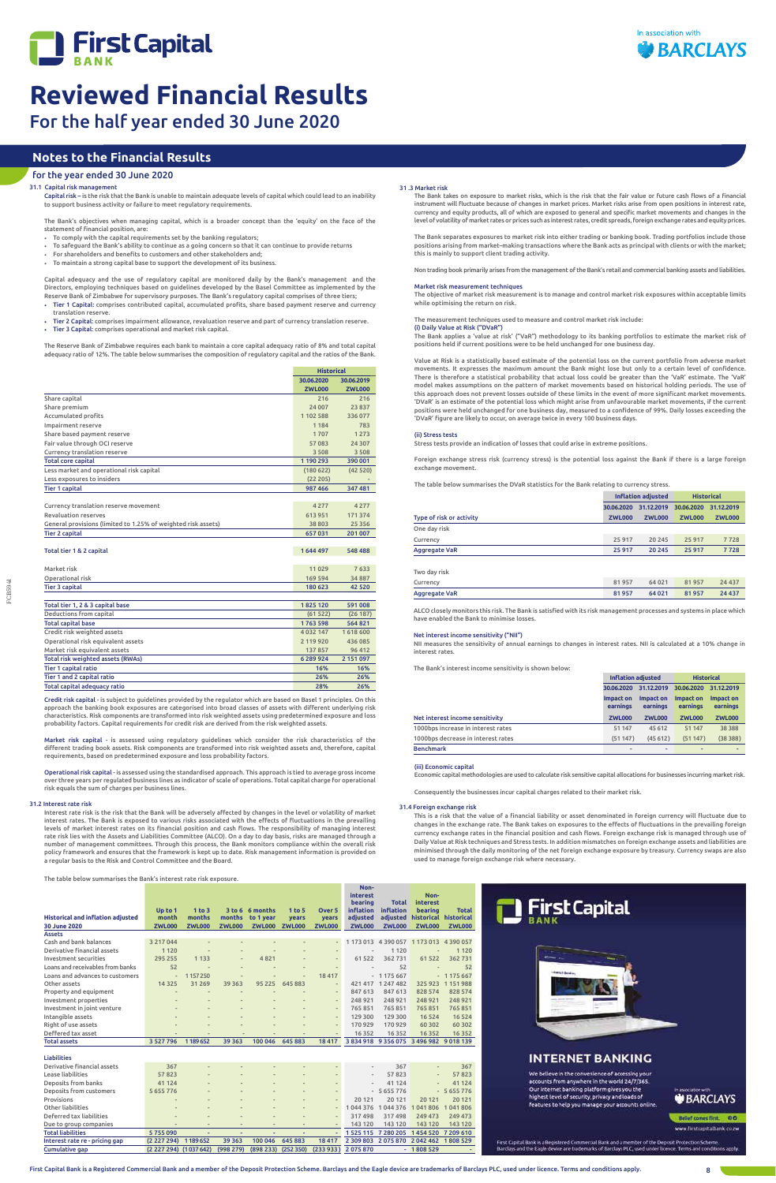



FCB5941

## 31 .3 Market risk

The Bank takes on exposure to market risks, which is the risk that the fair value or future cash flows of a financial instrument will fluctuate because of changes in market prices. Market risks arise from open positions in interest rate, currency and equity products, all of which are exposed to general and specific market movements and changes in the level of volatility of market rates or prices such as interest rates, credit spreads, foreign exchange rates and equity prices.

The Bank separates exposures to market risk into either trading or banking book. Trading portfolios include those positions arising from market–making transactions where the Bank acts as principal with clients or with the market; this is mainly to support client trading activity.

Non trading book primarily arises from the management of the Bank's retail and commercial banking assets and liabilities.

## Market risk measurement techniques

The objective of market risk measurement is to manage and control market risk exposures within acceptable limits while optimising the return on risk.

The measurement techniques used to measure and control market risk include:

(i) Daily Value at Risk ("DVaR") The Bank applies a 'value at risk' ("VaR") methodology to its banking portfolios to estimate the market risk of positions held if current positions were to be held unchanged for one business day.

Value at Risk is a statistically based estimate of the potential loss on the current portfolio from adverse market movements. It expresses the maximum amount the Bank might lose but only to a certain level of confidence. There is therefore a statistical probability that actual loss could be greater than the 'VaR' estimate. The 'VaR' model makes assumptions on the pattern of market movements based on historical holding periods. The use of this approach does not prevent losses outside of these limits in the event of more significant market movements. 'DVaR' is an estimate of the potential loss which might arise from unfavourable market movements, if the current positions were held unchanged for one business day, measured to a confidence of 99%. Daily losses exceeding the 'DVaR' figure are likely to occur, on average twice in every 100 business days.

## (ii) Stress tests

Stress tests provide an indication of losses that could arise in extreme positions.

Foreign exchange stress risk (currency stress) is the potential loss against the Bank if there is a large foreign exchange movement.

The table below summarises the DVaR statistics for the Bank relating to currency stress.

|                          | <b>Inflation adjusted</b> |                          |               | <b>Historical</b> |
|--------------------------|---------------------------|--------------------------|---------------|-------------------|
|                          | 30.06.2020                | 31.12.2019<br>30.06.2020 |               | 31.12.2019        |
| Type of risk or activity | <b>ZWL000</b>             | <b>ZWL000</b>            | <b>ZWL000</b> | <b>ZWL000</b>     |
| One day risk             |                           |                          |               |                   |
| Currency                 | 25917                     | 20 245                   | 25 917        | 7728              |
| <b>Aggregate VaR</b>     | 25917                     | 20 245                   | 25917         | 7728              |
| Two day risk             |                           |                          |               |                   |
| Currency                 | 81957                     | 64 0 21                  | 81957         | 24 4 37           |
| <b>Aggregate VaR</b>     | 81957                     | 64 0 21                  | 81957         | 24 437            |

ALCO closely monitors this risk. The Bank is satisfied with its risk management processes and systems in place which have enabled the Bank to minimise losses.

## Net interest income sensitivity ("NII")

NII measures the sensitivity of annual earnings to changes in interest rates. NII is calculated at a 10% change in interest rates.

The Bank's interest income sensitivity is shown below:

**Inflation adjusted Historical**

|                                    |                       | <u>mi tacion agrupicu</u> | .                     |                       |
|------------------------------------|-----------------------|---------------------------|-----------------------|-----------------------|
|                                    | 30.06.2020            | 31.12.2019                | 30.06.2020            | 31.12.2019            |
|                                    | Impact on<br>earnings | Impact on<br>earnings     | Impact on<br>earnings | Impact on<br>earnings |
| Net interest income sensitivity    | <b>ZWL000</b>         | <b>ZWL000</b>             | <b>ZWL000</b>         | <b>ZWL000</b>         |
|                                    |                       |                           |                       |                       |
| 1000bps increase in interest rates | 51 147                | 45 612                    | 51 147                | 38 3 8 8              |
| 1000bps decrease in interest rates | (51147)               | (45612)                   | (51147)               | (38388)               |
| <b>Benchmark</b>                   | -                     |                           |                       |                       |

## (iii) Economic capital

Economic capital methodologies are used to calculate risk sensitive capital allocations for businesses incurring market risk.

Consequently the businesses incur capital charges related to their market risk.

The table below summarises the Bank's interest rate risk exposure.

**Historical and inflation adjusted**

**Up to 1 month** 

**1 to 3 months** 

**months**

**3 to 6 6 months** 



## **INTERNET BANKING**

We believe in the convenience of accessing you accounts from anywhere in the world 24/7/365 Our internet banking platform gives you the<br>highest level of security, privacy and loads of features to help you manage your accounts online.

# **BARCLAYS**

Belief comes first. 00

www.firstcapitalbank.co.zw

First Capital Bank is a Registered Commercial Bank and a member of the Deposit Protection Scheme.<br>Barclays and the Eagle device are trademarks of Barclays PLC, used under licence. Terms and conditions apply

First Capital Bank is a Registered Commercial Bank and a member of the Deposit Protection Scheme. Barclays and the Eagle device are trademarks of Barclays PLC, used under licence. Terms and conditions apply. 8

**to 1 year**

**1 to 5 years** 

**Over 5 years**

**Non-interest bearing inflation adjusted**

**Total inflation adjusted**

**Noninterest bearing historical historical**

**Total** 

**30 June 2020 ZWL000 ZWL000 ZWL000 ZWL000 ZWL000 ZWL000 ZWL000 ZWL000 ZWL000 ZWL000**

| <b>Assets</b>                    |                          |                          |                          |         |                          |                          |                          |                     |                          |               |
|----------------------------------|--------------------------|--------------------------|--------------------------|---------|--------------------------|--------------------------|--------------------------|---------------------|--------------------------|---------------|
| Cash and bank balances           | 3 217 044                |                          |                          |         |                          | $\overline{\phantom{a}}$ | 1 173 013                | 4 390 057 1 173 013 |                          | 4 3 9 0 0 5 7 |
| Derivative financial assets      | 1 1 2 0                  | $\overline{\phantom{a}}$ | $\overline{\phantom{0}}$ |         | $\overline{\phantom{0}}$ | $\overline{\phantom{a}}$ |                          | 1 1 2 0             |                          | 1 1 2 0       |
| Investment securities            | 295 255                  | 1 1 3 3                  | $\overline{\phantom{a}}$ | 4821    | $\overline{a}$           | $\sim$                   | 61 522                   | 362731              | 61 5 22                  | 362731        |
| Loans and receivables from banks | 52                       |                          | $\overline{\phantom{a}}$ |         |                          | $\overline{\phantom{a}}$ | $\frac{1}{2}$            | 52                  | $\overline{\phantom{0}}$ | 52            |
| Loans and advances to customers  | $\overline{\phantom{0}}$ | 1157250                  | $\overline{\phantom{0}}$ |         | $\overline{\phantom{0}}$ | 18 417                   |                          | $-1175667$          |                          | $-1175667$    |
| Other assets                     | 14 3 25                  | 31269                    | 39 363                   | 95 225  | 645 883                  | $\overline{\phantom{a}}$ | 421 417                  | 1 2 4 7 4 8 2       | 325 923                  | 1 1 5 1 9 8 8 |
| Property and equipment           |                          |                          |                          |         |                          | $\overline{\phantom{a}}$ | 847 613                  | 847 613             | 828 574                  | 828 574       |
| Investment properties            |                          |                          | ٠                        |         |                          | $\overline{\phantom{a}}$ | 248 921                  | 248 921             | 248 921                  | 248 921       |
| Investment in joint venture      |                          |                          |                          |         |                          | $\overline{\phantom{a}}$ | 765851                   | 765 851             | 765851                   | 765851        |
| Intangible assets                |                          |                          |                          |         |                          | $\overline{\phantom{a}}$ | 129 300                  | 129 300             | 16 5 24                  | 16 5 24       |
| Right of use assets              |                          |                          |                          |         |                          | $\overline{\phantom{a}}$ | 170 929                  | 170 929             | 60 30 2                  | 60 30 2       |
| Deffered tax asset               |                          |                          |                          |         |                          |                          | 16 3 5 2                 | 16 3 5 2            | 16 3 5 2                 | 16 3 5 2      |
|                                  |                          |                          |                          |         |                          |                          |                          |                     |                          |               |
| <b>Total assets</b>              | 3 5 2 7 7 9 6            | 1189652                  | 39 363                   | 100 046 | 645 883                  | 18 417                   | 3834918                  |                     | 9 356 075 3 496 982      | 9 0 18 1 39   |
|                                  |                          |                          |                          |         |                          |                          |                          |                     |                          |               |
| <b>Liabilities</b>               |                          |                          |                          |         |                          |                          |                          |                     |                          |               |
| Derivative financial assets      | 367                      |                          |                          |         |                          |                          | $\overline{\phantom{a}}$ | 367                 |                          | 367           |
| Lease liabilities                | 57823                    |                          | $\overline{\phantom{m}}$ |         |                          |                          | $\overline{\phantom{a}}$ | 57823               | $\overline{\phantom{a}}$ | 57823         |
| Deposits from banks              | 41 124                   |                          | $\overline{\phantom{m}}$ |         | ۰                        |                          | $\overline{\phantom{a}}$ | 41 124              | $\overline{\phantom{a}}$ | 41 1 24       |
| Deposits from customers          | 5 655 776                | $\overline{\phantom{a}}$ | $\overline{\phantom{m}}$ |         | $\overline{\phantom{0}}$ |                          |                          | $-5655776$          |                          | $-5655776$    |
| Provisions                       |                          |                          |                          |         |                          | $\overline{\phantom{a}}$ | 20 121                   | 20 121              | 20 12 1                  | 20 12 1       |
| Other liabilities                |                          |                          |                          |         |                          | $\frac{1}{2}$            | 044 376                  | 1044376             | 041806                   | 041806        |
| Deferred tax liabilities         |                          |                          |                          |         |                          | $\blacksquare$           | 317498                   | 317498              | 249 473                  | 249 473       |
| Due to group companies           |                          |                          | ۰                        |         |                          | $\frac{1}{2}$            | 143 120                  | 143 120             | 143 120                  | 143 120       |
| <b>Total liabilities</b>         | 5755090                  | $\overline{\phantom{a}}$ | ۰                        |         | ۰                        | $\overline{\phantom{a}}$ | 1 5 2 5 1 1 5            | 7 280 205           | 1454520                  | 7 209 610     |

Cumulative gap (2 227 294) (1 037 642) (998 279) (898 233) (252 350) (233 933 ) 2 075 870 - 1 808 529 -

## 31.4 Foreign exchange risk

This is a risk that the value of a financial liability or asset denominated in foreign currency will fluctuate due to changes in the exchange rate. The Bank takes on exposures to the effects of fluctuations in the prevailing foreign currency exchange rates in the financial position and cash flows. Foreign exchange risk is managed through use of Daily Value at Risk techniques and Stress tests. In addition mismatches on foreign exchange assets and liabilities are minimised through the daily monitoring of the net foreign exchange exposure by treasury. Currency swaps are also used to manage foreign exchange risk where necessary.

First Capital

## **Notes to the Financial Results**

## for the year ended 30 June 2020

## 31.1 Capital risk managemen

|                                                               | <b>Historical</b> |               |
|---------------------------------------------------------------|-------------------|---------------|
|                                                               | 30.06.2020        | 30.06.2019    |
|                                                               | <b>ZWL000</b>     | <b>ZWL000</b> |
| Share capital                                                 | 216               | 216           |
| Share premium                                                 | 24 007            | 23837         |
| Accumulated profits                                           | 1102588           | 336077        |
| Impairment reserve                                            | 1 1 8 4           | 783           |
| Share based payment reserve                                   | 1707              | 1 2 7 3       |
| Fair value through OCI reserve                                | 57083             | 24 307        |
| Currency translation reserve                                  | 3508              | 3 5 0 8       |
| <b>Total core capital</b>                                     | 1190293           | 390 001       |
| Less market and operational risk capital                      | (180622)          | (42520)       |
| Less exposures to insiders                                    | (22 205)          |               |
| <b>Tier 1 capital</b>                                         | 987 466           | 347 481       |
|                                                               |                   |               |
| Currency translation reserve movement                         | 4 2 7 7           | 4 2 7 7       |
| <b>Revaluation reserves</b>                                   | 613951            | 171 374       |
| General provisions (limited to 1.25% of weighted risk assets) | 38 803            | 25 3 5 6      |
| <b>Tier 2 capital</b>                                         | 657031            | 201 007       |
|                                                               |                   |               |
| Total tier 1 & 2 capital                                      | 1644497           | 548 488       |
|                                                               |                   |               |
| Market risk                                                   | 11 0 29           | 7633          |
| Operational risk                                              | 169 594           | 34887         |
| <b>Tier 3 capital</b>                                         | 180 623           | 42 520        |
|                                                               |                   |               |
| Total tier 1, 2 & 3 capital base                              | 1825 120          | 591008        |
| Deductions from capital                                       | (61522)           | (26187)       |
| <b>Total capital base</b>                                     | 1763 598          | 564821        |
| Credit risk weighted assets                                   | 4 0 3 2 1 4 7     | 1618600       |
| Operational risk equivalent assets                            | 2 119 9 20        | 436 085       |
| Market risk equivalent assets                                 | 137857            | 96 412        |
| Total risk weighted assets (RWAs)                             | 6289924           | 2 151 097     |
| <b>Tier 1 capital ratio</b>                                   | 16%               | 16%           |
| Tier 1 and 2 capital ratio                                    | 26%               | 26%           |
| Total capital adequacy ratio                                  | 28%               | 26%           |

Credit risk capital - is subject to guidelines provided by the regulator which are based on Basel 1 principles. On this approach the banking book exposures are categorised into broad classes of assets with different underlying risk characteristics. Risk components are transformed into risk weighted assets using predetermined exposure and loss probability factors. Capital requirements for credit risk are derived from the risk weighted assets.

Market risk capital - is assessed using regulatory guidelines which consider the risk characteristics of the different trading book assets. Risk components are transformed into risk weighted assets and, therefore, capital requirements, based on predetermined exposure and loss probability factors.

Operational risk capital - is assessed using the standardised approach. This approach is tied to average gross income over three years per regulated business lines as indicator of scale of operations. Total capital charge for operational risk equals the sum of charges per business lines.

## 31.2 Interest rate risk

Interest rate risk is the risk that the Bank will be adversely affected by changes in the level or volatility of market interest rates. The Bank is exposed to various risks associated with the effects of fluctuations in the prevailing levels of market interest rates on its financial position and cash flows. The responsibility of managing interest<br>rate risk lies with the Assets and Liabilities Committee (ALCO). On a day to day basis, risks are managed th number of management committees. Through this process, the Bank monitors compliance within the overall risk policy framework and ensures that the framework is kept up to date. Risk management information is provided on a regular basis to the Risk and Control Committee and the Board.

Capital risk – is the risk that the Bank is unable to maintain adequate levels of capital which could lead to an inability to support business activity or failure to meet regulatory requirements.

The Bank's objectives when managing capital, which is a broader concept than the 'equity' on the face of the statement of financial position, are:

- To comply with the capital requirements set by the banking regulators;
- To safeguard the Bank's ability to continue as a going concern so that it can continue to provide returns
- For shareholders and benefits to customers and other stakeholders and; • To maintain a strong capital base to support the development of its business.

Capital adequacy and the use of regulatory capital are monitored daily by the Bank's management and the Directors, employing techniques based on guidelines developed by the Basel Committee as implemented by the Reserve Bank of Zimbabwe for supervisory purposes. The Bank's regulatory capital comprises of three tiers;

- Tier 1 Capital: comprises contributed capital, accumulated profits, share based payment reserve and currency translation reserve.
- Tier 2 Capital: comprises impairment allowance, revaluation reserve and part of currency translation reserve. • Tier 3 Capital: comprises operational and market risk capital.

The Reserve Bank of Zimbabwe requires each bank to maintain a core capital adequacy ratio of 8% and total capital adequacy ratio of 12%. The table below summarises the composition of regulatory capital and the ratios of the Bank.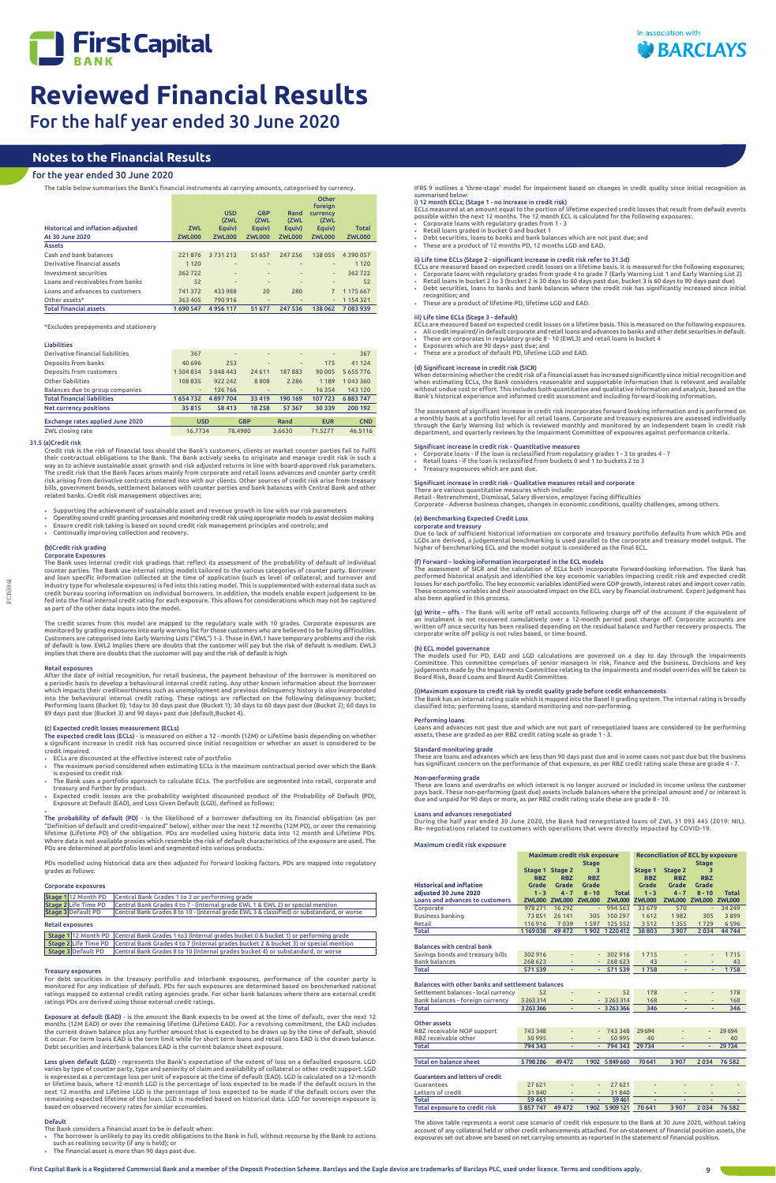



FCB5941

The table below summarises the Bank's financial instruments at carrying amounts, categorised by currency.

| Historical and inflation adjusted<br>At 30 June 2020 | <b>ZWL</b><br><b>ZWL000</b> | <b>USD</b><br>(ZWL<br>Equiv)<br><b>ZWL000</b> | <b>GBP</b><br>(ZWL<br>Equiv)<br><b>ZWL000</b> | Rand<br>(ZWL<br>Equiv)<br><b>ZWL000</b> | Other<br>foreign<br><b>CULLED CA</b><br>(ZWL<br>Equiv)<br><b>ZWL000</b> | <b>Total</b><br><b>ZWL000</b> |
|------------------------------------------------------|-----------------------------|-----------------------------------------------|-----------------------------------------------|-----------------------------------------|-------------------------------------------------------------------------|-------------------------------|
| <b>Assets</b>                                        |                             |                                               |                                               |                                         |                                                                         |                               |
| Cash and bank balances                               | 221876                      | 3731213                                       | 51 657                                        | 247 256                                 | 138 055                                                                 | 4390057                       |
| Derivative financial assets                          | 1 1 2 0                     | $\frac{1}{2}$                                 | $\qquad \qquad \blacksquare$                  | $\qquad \qquad \blacksquare$            | $\frac{1}{2}$                                                           | 1 1 2 0                       |
| Investment securities                                | 362722                      | $\frac{1}{2}$                                 | $\qquad \qquad \blacksquare$                  | $\overline{\phantom{m}}$                | $\overline{\phantom{m}}$                                                | 362722                        |
| Loans and receivables from banks                     | 52                          | $\overline{a}$                                | $\qquad \qquad \blacksquare$                  | $\overline{\phantom{m}}$                | $\frac{1}{2}$                                                           | 52                            |
| Loans and advances to customers                      | 741 372                     | 433 988                                       | 20                                            | 280                                     |                                                                         | 1 175 667                     |
| Other assets*                                        | 363 405                     | 790 916                                       | $\qquad \qquad \blacksquare$                  | $\qquad \qquad \blacksquare$            | $\frac{1}{2}$                                                           | 1154321                       |
| <b>Total financial assets</b>                        | 1690547                     | 4956117                                       | 51 677                                        | 247 536                                 | 138 062                                                                 | 7083939                       |

\*Excludes prepayments and stationery

## Liabilities

| Derivative financial liabilities   | 367           | $\overline{\phantom{m}}$ | $\frac{1}{2}$  | $\qquad \qquad$          | $\overline{\phantom{m}}$ | 367           |
|------------------------------------|---------------|--------------------------|----------------|--------------------------|--------------------------|---------------|
| Deposits from banks                | 40 696        | 253                      | $\overline{a}$ | $\qquad \qquad$          | 175                      | 41 124        |
| Deposits from customers            | 1 504 834     | 3 848 443                | 24 6 11        | 187883                   | 90 005                   | 5 6 5 5 7 7 6 |
| Other liabilities                  | 108 835       | 922 242                  | 8808           | 2 2 8 6                  | 1 1 8 9                  | 1043360       |
| Balances due to group companies    | $\frac{1}{2}$ | 126 766                  | -              | $\overline{\phantom{a}}$ | 16 3 54                  | 143 120       |
| <b>Total financial liabilities</b> | 1654732       | 4897704                  | 33 4 19        | 190 169                  | 107723                   | 6883747       |
| <b>Net currency positions</b>      | 35815         | 58 413                   | 18 2 58        | 57 367                   | 30 339                   | 200 192       |
| Exchange rates applied June 2020   | <b>USD</b>    |                          | <b>GBP</b>     | Rand                     | <b>EUR</b>               | <b>CND</b>    |
| ZWL closing rate                   | 16.7734       | 78,4980                  |                | 3.6630                   | 71.5277                  | 46.5116       |

## 31.5 (a)Credit risk

Credit risk is the risk of financial loss should the Bank's customers, clients or market counter parties fail to fulfil their contractual obligations to the Bank. The Bank actively seeks to originate and manage credit risk in such a way as to achieve sustainable asset growth and risk adjusted returns in line with board-approved risk parameters.<br>The credit risk that the Bank faces arises mainly from corporate and retail loans advances and counter party risk arising from derivative contracts entered into with our clients. Other sources of credit risk arise from treasury bills, government bonds, settlement balances with counter parties and bank balances with Central Bank and other related banks. Credit risk management objectives are;

- Supporting the achievement of sustainable asset and revenue growth in line with our risk parameters
- Operating sound credit granting processes and monitoring credit risk using appropriate models to assist decision making Ensure credit risk taking is based on sound credit risk management principles and controls; and
- Continually improving collection and recovery.

## (b)Credit risk grading Corporate Exposures

•<br>The probability of default (PD) - is the likelihood of a borrower defaulting on its financial obligation (as per<br>"Definition of default and credit-impaired" below), either over the next 12 months (12M PD), or over the re lifetime (Lifetime PD) of the obligation. PDs are modelled using historic data into 12 month and Lifetime PDs. Where data is not available proxies which resemble the risk of default characteristics of the exposure are used. The PDs are determined at portfolio level and segmented into various products.

The Bank uses internal credit risk gradings that reflect its assessment of the probability of default of individual counter parties. The Bank use internal rating models tailored to the various categories of counter party. Borrower and loan specific information collected at the time of application (such as level of collateral; and turnover and<br>industry type for wholesale exposures) is fed into this rating model. This is supplemented with external dat credit bureau scoring information on individual borrowers. In addition, the models enable expert judgement to be fed into the final internal credit rating for each exposure. This allows for considerations which may not be captured as part of the other data inputs into the model.

For debt securities in the treasury portfolio and interbank exposures, performance of the counter party is monitored for any indication of default. PDs for such exposures are determined based on benchmarked national ratings mapped to external credit rating agencies grade. For other bank balances where there are external credit<br>ratings PDs are derived using those external credit ratings.

The credit scores from this model are mapped to the regulatory scale with 10 grades. Corporate exposures are monitored by grading exposures into early warning list for those customers who are believed to be facing difficulties.<br>Customers are categorised into Early Warning Lists ("EWL") 1-3. Those in EWL1 have temporary problems a of default is low. EWL2 implies there are doubts that the customer will pay but the risk of default is medium. EWL3 implies that there are doubts that the customer will pay and the risk of default is high

## Retail exposures

After the date of initial recognition, for retail business, the payment behaviour of the borrower is monitored on a periodic basis to develop a behavioural internal credit rating. Any other known information about the borrower which impacts their creditworthiness such as unemployment and previous delinquency history is also incorporated into the behavioural internal credit rating. These ratings are reflected on the following delinquency bucket; Performing loans (Bucket 0); 1day to 30 days past due (Bucket 1); 30 days to 60 days past due (Bucket 2); 60 days to 89 days past due (Bucket 3) and 90 days+ past due (default,Bucket 4).

## (c) Expected credit losses measurement (ECLs)

## Balances with other banks and settlement balances Settlement balances - local currency  $52$  -  $52$  178 - - - 178 Bank balances - foreign currency Total 3 263 366 - - 3 263 366 346 - - 346 Other assets RBZ receivable NOP support 743 348 - 743 348 29 694 - - 29 694 RBZ receivable other Total 794 343 - 794 343 29 734 Total on balance sheet 5 798 286 49 472 1 902 5 849 660 70 641 3 907 2 034 76 582 Guarantees and letters of credit Guarantees 27 621 - - 27 621 - - - - <u>Letters of credit 31840 - 31840</u> Total 59 461 - - 59 461 - - - - Total exposure to credit risk 5 857 747 49 472 1 902 5 909 121 70 641 3 907

The expected credit loss (ECLs) - is measured on either a 12 - month (12M) or Lifetime basis depending on whether a significant increase in credit risk has occurred since initial recognition or whether an asset is considered to be credit impaired.

- ECLs are discounted at the effective interest rate of portfolio
- The maximum period considered when estimating ECLs is the maximum contractual period over which the Bank is exposed to credit risk
- The Bank uses a portfolio approach to calculate ECLs. The portfolios are segmented into retail, corporate and treasury and further by product.
- Expected credit losses are the probability weighted discounted product of the Probability of Default (PD), Exposure at Default (EAD), and Loss Given Default (LGD), defined as follows:

IFRS 9 outlines a 'three-stage' model for impairment based on changes in credit quality since initial recognition a summarised below:

- 
- Corporate loans with regulatory grades from 1 3<br>• Retail loans graded in bucket 0 and bucket 1<br>• Debt securities, loans to banks and bank balances which are not past due; and
- These are a product of 12 months PD, 12 months LGD and EAD.
- ii) Life time ECLs (Stage 2 significant increase in credit risk refer to 31.5d)
- ECLs are measured based on expected credit losses on a lifetime basis. It is measured for the following exposures;
- Corporate loans with regulatory grades from grade 4 to grade 7 (Early Warning List 1 and Early Warning List 2)<br>• Retail loans in bucket 2 to 3 (bucket 2 is 30 days to 60 days past due, bucket 3 is 60 days to 90 day
- Debt securities, loans to banks and bank balances where the credit risk has significantly increased since initial recognition; and
- These are a product of lifetime PD, lifetime LGD and EAD.

iii) Life time ECLs (Stage 3 - default)<br>ECLs are measured based on expected credit losses on a lifetime basis. This is measured on the following exposures.<br>• All credit impaired/ in default corporate and retail loans a

PDs modelled using historical data are then adjusted for forward looking factors. PDs are mapped into regulatory grades as follows:

- These are corporates in regulatory grade 8 10 (EWL3) and retail loans in bucket 4 Exposures which are 90 days+ past due; and
- These are a product of default PD, lifetime LGD and EAD

## Corporate exposures

| Stage 1 12 Month PD     | Central Bank Grades 1 to 3 or performing grade                                             |
|-------------------------|--------------------------------------------------------------------------------------------|
| Stage 2 Life Time PD    | Central Bank Grades 4 to 7 - (internal grade EWL 1 & EWL 2) or special mention             |
| Stage 3 Default PD      | Central Bank Grades 8 to 10 - (internal grade EWL 3 & classified) or substandard, or worse |
| <b>Retail exposures</b> |                                                                                            |

1 12 Month PD Central Bank Grades 1 to3 (internal grades bucket 0 & bucket 1) or performing grade

When determining whether the credit risk of a financial asset has increased significantly since initial recognition and<br>when estimating ECLs, the Bank considers reasonable and supportable information that is relevant and a without undue cost or effort. This includes both quantitative and qualitative information and analysis, based on the Bank's historical experience and informed credit assessment and including forward-looking information.

|                    |  | Stage 2 Life Time PD Central Bank Grades 4 to 7 (internal grades bucket 2 & bucket 3) or special mention |
|--------------------|--|----------------------------------------------------------------------------------------------------------|
| Stage 3 Default PD |  | Central Bank Grades 8 to 10 (internal grades bucket 4) or substandard, or worse                          |

### Treasury exposures

(f) Forward – looking information incorporated in the ECL models<br>The assessment of SICR and the calculation of ECLs both incorporate forward-looking information. The Bank has<br>performed historical analysis and identified th also been applied in this process.

Exposure at default (EAD) - is the amount the Bank expects to be owed at the time of default, over the next 12 months (12M EAD) or over the remaining lifetime (Lifetime EAD). For a revolving commitment, the EAD includes the current drawn balance plus any further amount that is expected to be drawn up by the time of default, should<br>it occur. For term loans EAD is the term limit while for short term loans and retail loans EAD is the drawn b Debt securities and interbank balances EAD is the current balance sheet exposure.

**(g)** Write – offs - The Bank will write off retail accounts following charge off of the account if the equivalent of<br>an instalment is not recovered cumulatively over a 12-month period post charge off. Corporate accounts a corporate write off policy is not rules based, or time bound.

The models used for PD, EAD and LGD calculations are governed on a day to day through the Impairments<br>Committee. This committee comprises of senior managers in risk, finance and the business. Decisions and key<br>judgements m Board Risk, Board Loans and Board Audit Committee.

Loss given default (LGD) - represents the Bank's expectation of the extent of loss on a defaulted exposure. LGD varies by type of counter party, type and seniority of claim and availability of collateral or other credit support. LGD<br>is expressed as a percentage loss per unit of exposure at the time of default (EAD). LGD is calculate or lifetime basis, where 12-month LGD is the percentage of loss expected to be made if the default occurs in the next 12 months and Lifetime LGD is the percentage of loss expected to be made if the default occurs over the remaining expected lifetime of the loan. LGD is modelled based on historical data. LGD for sovereign exposure is based on observed recovery rates for similar economies.

## Default

- The Bank considers a financial asset to be in default when: The borrower is unlikely to pay its credit obligations to the Bank in full, without recourse by the Bank to actions such as realising security (if any is held); or
- The financial asset is more than 90 days past due.

## Maximum credit risk exposure

|                                        | Maximum credit risk exposure |                      |                          |               | <b>Reconciliation of ECL by exposure</b> |               |               |               |  |
|----------------------------------------|------------------------------|----------------------|--------------------------|---------------|------------------------------------------|---------------|---------------|---------------|--|
|                                        | <b>Stage</b>                 |                      |                          |               |                                          |               | <b>Stage</b>  |               |  |
|                                        |                              | Stage 1 Stage 2      | 3                        |               | Stage 1                                  | Stage 2       | 3             |               |  |
|                                        | <b>RBZ</b>                   | <b>RBZ</b>           | <b>RBZ</b>               |               | <b>RBZ</b>                               | <b>RBZ</b>    | <b>RBZ</b>    |               |  |
| <b>Historical and inflation</b>        | Grade                        | <b>Grade</b>         | Grade                    |               | Grade                                    | Grade         | <b>Grade</b>  |               |  |
| adjusted 30 June 2020                  | $1 - 3$                      | $4 - 7$              | $8 - 10$                 | <b>Total</b>  | $1 - 3$                                  | $4 - 7$       | $8 - 10$      | <b>Total</b>  |  |
| <b>Loans and advances to customers</b> |                              | ZWL000 ZWL000 ZWL000 |                          | <b>ZWL000</b> | <b>ZWL000</b>                            | <b>ZWL000</b> | <b>ZWL000</b> | <b>ZWL000</b> |  |
| Corporate                              | 978 271                      | 16 29 2              | $\overline{\phantom{0}}$ | 994 563       | 33 679                                   | 570           | $\sim$        | 34 249        |  |
| Business banking                       | 73851                        | 26 141               | 305                      | 100 297       | 1612                                     | 1982          | 305           | 3899          |  |
| Retail                                 | 116916                       | 7039                 | 1597                     | 125 552       | 3512                                     | 1355          | 1729          | 6596          |  |
| Total                                  | 1169038                      | 49 472               |                          | 1902 1220412  | 38 803                                   | 3 9 0 7       | 2034          | 44744         |  |

## Balances with central bank

| Savings bonds and treasury bills | 302 916 |  | $-302916$ 1715 |      |  | 1715 |
|----------------------------------|---------|--|----------------|------|--|------|
| Bank balances                    | 268 623 |  | $-268623$      |      |  |      |
| Total                            | 571539  |  | $-571539$      | 1758 |  | 1758 |

The above table represents a worst case scenario of credit risk exposure to the Bank at 30 June 2020, without taking account of any collateral held or other credit enhancements attached. For on-statement of financial position assets, the exposures set out above are based on net carrying amounts as reported in the statement of financial position.

# **Notes to the Financial Results**

## for the year ended 30 June 2020

## i) 12 month ECLs; (Stage 1 - no increase in credit risk)

ECLs measured at an amount equal to the portion of lifetime expected credit losses that result from default events possible within the next 12 months. The 12 month ECL is calculated for the following exposures:

## (d) Significant increase in credit risk (SICR)

The assessment of significant increase in credit risk incorporates forward looking information and is performed on a monthly basis at a portfolio level for all retail loans. Corporate and treasury exposures are assessed individually<br>through the Early Warning list which is reviewed monthly and monitored by an independent team in credit department, and quarterly reviews by the Impairment Committee of exposures against performance criteria.

- Significant increase in credit risk Quantitative measures Corporate loans if the loan is reclassified from regulatory grades 1 3 to grades 4 7
- Retail loans if the loan is reclassified from buckets 0 and 1 to buckets 2 to 3 • Treasury exposures which are past due.

## Significant increase in credit risk - Qualitative measures retail and corporate

There are various quantitative measures which include:

Retail - Retrenchment, Dismissal, Salary diversion, employer facing difficulties Corporate - Adverse business changes, changes in economic conditions, quality challenges, among others.

## (e) Benchmarking Expected Credit Loss corporate and treasury

Due to lack of sufficient historical information on corporate and treasury portfolio defaults from which PDs and LGDs are derived, a judgemental benchmarking is used parallel to the corporate and treasury model output. The higher of benchmarking ECL and the model output is considered as the final ECL.

## (h) ECL model governance

## (i)Maximum exposure to credit risk by credit quality grade before credit enhancements

The Bank has an internal rating scale which is mapped into the Basel II grading system. The internal rating is broadly classified into; performing loans, standard monitoring and non-performing.

## Performing loans

Loans and advances not past due and which are not part of renegotiated loans are considered to be performing<br>assets, these are graded as per RBZ credit rating scale as grade 1 - 3.

# Standard monitoring grade

These are loans and advances which are less than 90 days past due and in some cases not past due but the business<br>has significant concern on the performance of that exposure, as per RBZ credit rating scale these are grade

## Non-performing grade These are loans and overdrafts on which interest is no longer accrued or included in income unless the customer pays back. These non-performing (past due) assets include balances where the principal amount and / or interest is due and unpaid for 90 days or more, as per RBZ credit rating scale these are grade 8 - 10.

## Loans and advances renegotiated

During the half year ended 30 June 2020, the Bank had renegotiated loans of ZWL 31 093 445 (2019: NIL). Re- negotiations related to customers with operations that were directly impacted by COVID-19.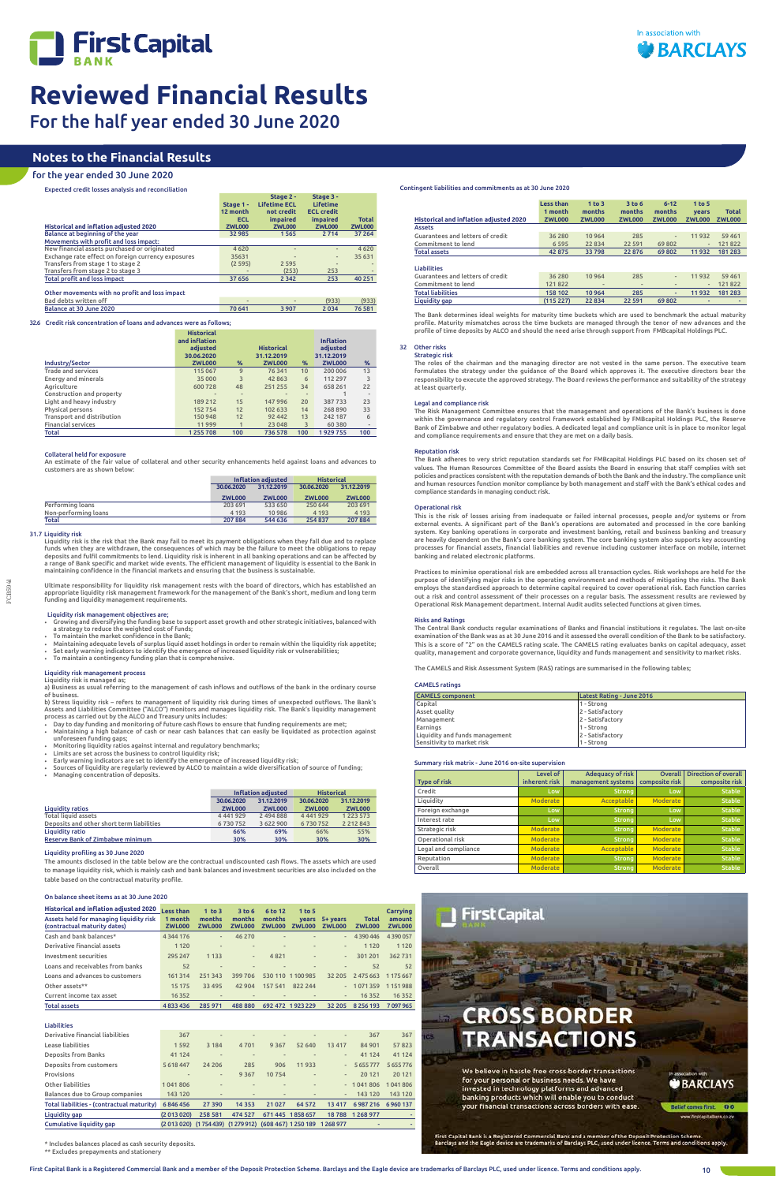

FCB5941

| <b>Historical and inflation adjusted 2020</b><br><b>Assets</b> | <b>Less than</b><br>1 month<br><b>ZWL000</b> | 1 <sub>to</sub> 3<br>months<br><b>ZWL000</b> | 3 <sub>to</sub> 6<br>months<br><b>ZWL000</b> | $6 - 12$<br>months<br><b>ZWL000</b> | 1 to 5<br>vears<br><b>ZWL000</b> | <b>Total</b><br><b>ZWL000</b> |
|----------------------------------------------------------------|----------------------------------------------|----------------------------------------------|----------------------------------------------|-------------------------------------|----------------------------------|-------------------------------|
| Guarantees and letters of credit                               | 36 280                                       | 10 9 64                                      | 285                                          |                                     | 11932                            | 59 4 61                       |
| Commitment to lend                                             | 6 5 9 5                                      | 22 8 34                                      | 22 5 9 1                                     | 69802                               | $\frac{1}{2}$                    | 121822                        |
| <b>Total assets</b>                                            | 42 875                                       | 33798                                        | 22 8 76                                      | 69802                               | 11932                            | 181 283                       |
| <b>Liabilities</b>                                             |                                              |                                              |                                              |                                     |                                  |                               |
| Guarantees and letters of credit                               | 36 280                                       | 10 9 64                                      | 285                                          | $\overline{\phantom{0}}$            | 11932                            | 59 4 61                       |
| Commitment to lend                                             | 121822                                       |                                              | $\qquad \qquad \blacksquare$                 |                                     | $\qquad \qquad$                  | 121822                        |
| <b>Total liabilities</b>                                       | 158 102                                      | 10 964                                       | 285                                          | ٠                                   | 11932                            | 181 283                       |
| Liquidity gap                                                  | (115 227)                                    | 22 8 34                                      | 22 591                                       | 69802                               | ۰                                | ۰                             |

## 32 Other risks Strategic risk

The Bank determines ideal weights for maturity time buckets which are used to benchmark the actual maturity profile. Maturity mismatches across the time buckets are managed through the tenor of new advances and the profile of time deposits by ALCO and should the need arise through support from FMBcapital Holdings PLC.

## The roles of the chairman and the managing director are not vested in the same person. The executive team formulates the strategy under the guidance of the Board which approves it. The executive directors bear the responsibility to execute the approved strategy. The Board reviews the performance and suitability of the strategy at least quarterly.

## Legal and compliance risk

The Risk Management Committee ensures that the management and operations of the Bank's business is done within the governance and regulatory control framework established by FMBcapital Holdings PLC, the Reserve Bank of Zimbabwe and other regulatory bodies. A dedicated legal and compliance unit is in place to monitor legal and compliance requirements and ensure that they are met on a daily basis.

## Reputation risk

The Bank adheres to very strict reputation standards set for FMBcapital Holdings PLC based on its chosen set of values. The Human Resources Committee of the Board assists the Board in ensuring that staff complies with set<br>policies and practices consistent with the reputation demands of both the Bank and the industry. The compliance and human resources function monitor compliance by both management and staff with the Bank's ethical codes and compliance standards in managing conduct risk.

## Operational risk

This is the risk of losses arising from inadequate or failed internal processes, people and/or systems or from external events. A significant part of the Bank's operations are automated and processed in the core banking system. Key banking operations in corporate and investment banking, retail and business banking and treasury are heavily dependent on the Bank's core banking system. The core banking system also supports key accounting<br>processes for financial assets, financial liabilities and revenue including customer interface on mobile, intern banking and related electronic platforms.

Practices to minimise operational risk are embedded across all transaction cycles. Risk workshops are held for the purpose of identifying major risks in the operating environment and methods of mitigating the risks. The Bank employs the standardised approach to determine capital required to cover operational risk. Each function carries out a risk and control assessment of their processes on a regular basis. The assessment results are reviewed by Operational Risk Management department. Internal Audit audits selected functions at given times.

## Risks and Ratings

Liquidity risk is the risk that the Bank may fail to meet its payment obligations when they fall due and to replace<br>funds when they are withdrawn, the consequences of which may be the failure to meet the obligations to rep deposits and fulfil commitments to lend. Liquidity risk is inherent in all banking operations and can be affected by<br>a range of Bank specific and market wide events. The efficient management of liquidity is essential to th maintaining confidence in the financial markets and ensuring that the business is sustainable.

> The Central Bank conducts regular examinations of Banks and financial institutions it regulates. The last on-site examination of the Bank was as at 30 June 2016 and it assessed the overall condition of the Bank to be satisfactory. This is a score of "2" on the CAMELS rating scale. The CAMELS rating evaluates banks on capital adequacy, asset quality, management and corporate governance, liquidity and funds management and sensitivity to market risks.

The CAMELS and Risk Assessment System (RAS) ratings are summarised in the following tables;

## CAMELS ratings

b) Stress liquidity risk – refers to management of liquidity risk during times of unexpected outflows. The Bank's Assets and Liabilities Committee ("ALCO") monitors and manages liquidity risk. The Bank's liquidity management<br>process as carried out by the ALCO and Treasury units includes:

| <b>CAMELS component</b>        | Latest Rating - June 2016 |  |
|--------------------------------|---------------------------|--|
| Capital                        | 1 - Strong                |  |
| Asset quality                  | 2 - Satisfactory          |  |
| Management                     | 2 - Satisfactory          |  |
| Earnings                       | 11 - Strong               |  |
| Liquidity and funds management | 2 - Satisfactory          |  |
| Sensitivity to market risk     | 1 - Strong                |  |

## Summary risk matrix - June 2016 on-site supervision

| <b>Type of risk</b>  | Level of<br>inherent risk | <b>Adequacy of risk</b><br>management systems | <b>Overall</b><br>composite risk | <b>Direction of overall</b><br>composite risk |
|----------------------|---------------------------|-----------------------------------------------|----------------------------------|-----------------------------------------------|
| Credit               | Low                       | <b>Strong</b>                                 | Low                              | <b>Stable</b>                                 |
| Liquidity            | <b>Moderate</b>           | <b>Acceptable</b>                             | <b>Moderate</b>                  | <b>Stable</b>                                 |
| Foreign exchange     | Low                       | <b>Strong</b>                                 | Low                              | <b>Stable</b>                                 |
| Interest rate        | Low                       | <b>Strong</b>                                 | Low                              | <b>Stable</b>                                 |
| Strategic risk       | <b>Moderate</b>           | <b>Strong</b>                                 | Moderate                         | <b>Stable</b>                                 |
| Operational risk     | <b>Moderate</b>           | <b>Strong</b>                                 | <b>Moderate</b>                  | <b>Stable</b>                                 |
| Legal and compliance | <b>Moderate</b>           | <b>Acceptable</b>                             | Moderate                         | <b>Stable</b>                                 |
| Reputation           | <b>Moderate</b>           | <b>Strong</b>                                 | Moderate                         | <b>Stable</b>                                 |
| Overall              | <b>Moderate</b>           | <b>Strong</b>                                 | Moderate                         | <b>Stable</b>                                 |



## Contingent liabilities and commitments as at 30 June 2020

# **Notes to the Financial Results**

# for the year ended 30 June 2020

Expected credit losses analysis and reconciliation

|                                                    |               | Stage 2 -           | Stage 3 -         |               |
|----------------------------------------------------|---------------|---------------------|-------------------|---------------|
|                                                    | Stage 1 -     | <b>Lifetime ECL</b> | <b>Lifetime</b>   |               |
|                                                    | 12 month      | not credit          | <b>ECL credit</b> |               |
|                                                    | <b>ECL</b>    | <i>impaired</i>     | <i>impaired</i>   | <b>Total</b>  |
| <b>Historical and inflation adjusted 2020</b>      | <b>ZWL000</b> | <b>ZWL000</b>       | <b>ZWL000</b>     | <b>ZWL000</b> |
| Balance at beginning of the year                   | 32 985        | 1565                | 2 7 1 4           | 37 264        |
| Movements with profit and loss impact:             |               |                     |                   |               |
| New financial assets purchased or originated       | 4620          | $\frac{1}{2}$       | $\frac{1}{2}$     | 4620          |
| Exchange rate effect on foreign currency exposures | 35631         | ٠                   | $\frac{1}{2}$     | 35 631        |
| Transfers from stage 1 to stage 2                  | (2595)        | 2 5 9 5             | $\sim$            |               |
| Transfers from stage 2 to stage 3                  |               | (253)               | 253               |               |
| <b>Total profit and loss impact</b>                | 37 656        | 2 3 4 2             | 253               | 40 251        |
|                                                    |               |                     |                   |               |
| Other movements with no profit and loss impact     |               |                     |                   |               |

Bad debts written off 1933 (933) (933) (933) (933) (933) (933) (933) (933) (933) (933) (933) (933) (933) (933) (933) (933) (933) (933) (933) (933) (933) (933) (933) (933) (933) (933) (933) (933) (933) (933) (933) (934) (93 Balance at 30 June 2020

## 32.6 Credit risk concentration of loans and advances were as follows;

|                            | <b>Historical</b><br>and inflation<br>adiusted |                | <b>Historical</b> |      | <b>Inflation</b><br>adjusted |     |
|----------------------------|------------------------------------------------|----------------|-------------------|------|------------------------------|-----|
|                            | 30.06.2020                                     |                | 31.12.2019        |      | 31.12.2019                   |     |
| Industry/Sector            | <b>ZWL000</b>                                  | %              | <b>ZWL000</b>     | $\%$ | <b>ZWL000</b>                | %   |
| <b>Trade and services</b>  | 115 067                                        | 9              | 76 341            | 10   | 200 006                      | 13  |
| Energy and minerals        | 35 000                                         | 3              | 42 863            | 6    | 112 297                      | 3   |
| Agriculture                | 600728                                         | 48             | 251 255           | 34   | 658 261                      | 22  |
| Construction and property  |                                                | $\overline{a}$ |                   |      |                              |     |
| Light and heavy industry   | 189 212                                        | 15             | 147 996           | 20   | 387733                       | 23  |
| Physical persons           | 152754                                         | 12             | 102 633           | 14   | 268890                       | 33  |
| Transport and distribution | 150948                                         | 12             | 92 442            | 13   | 242 187                      | 6   |
| <b>Financial services</b>  | 11999                                          |                | 23 048            | 3    | 60 3 80                      |     |
| Total                      | 1255708                                        | 100            | 736 578           | 100  | 1929755                      | 100 |

## Collateral held for exposure

An estimate of the fair value of collateral and other security enhancements held against loans and advances to customers are as shown below:

|                      | Inflation adiusted       |               | <b>Historical</b> |               |
|----------------------|--------------------------|---------------|-------------------|---------------|
|                      | 31.12.2019<br>30.06.2020 |               | 30.06.2020        | 31.12.2019    |
|                      | <b>ZWL000</b>            | <b>ZWL000</b> | <b>ZWL000</b>     | <b>ZWL000</b> |
| Performing loans     | 203 691                  | 533 650       | 250 644           | 203 691       |
| Non-performing loans | 4 1 9 3                  | 10986         | 4 1 9 3           | 4 1 9 3       |
| <b>Total</b>         | 207 884                  | 544 636       | 254837            | 207884        |

## 31.7 Liquidity risk

Ultimate responsibility for liquidity risk management rests with the board of directors, which has established an appropriate liquidity risk management framework for the management of the Bank's short, medium and long term funding and liquidity management requirements.

### Liquidity risk management objectives are;

• Growing and diversifying the funding base to support asset growth and other strategic initiatives, balanced with a strategy to reduce the weighted cost of funds; • To maintain the market confidence in the Bank;

- 
- Maintaining adequate levels of surplus liquid asset holdings in order to remain within the liquidity risk appetite; Set early warning indicators to identify the emergence of increased liquidity risk or vulnerabilities;
- To maintain a contingency funding plan that is comprehensive.

## Liquidity risk management process

Liquidity risk is managed as; a) Business as usual referring to the management of cash inflows and outflows of the bank in the ordinary course of business.

- Day to day funding and monitoring of future cash flows to ensure that funding requirements are met; • Maintaining a high balance of cash or near cash balances that can easily be liquidated as protection against unforeseen funding gaps;
- Monitoring liquidity ratios against internal and regulatory benchmarks;
- 
- Limits are set across the business to control liquidity risk; Early warning indicators are set to identify the emergence of increased liquidity risk; • Sources of liquidity are regularly reviewed by ALCO to maintain a wide diversification of source of funding;
- Managing concentration of deposits.

|                                           |               | Inflation adjusted | <b>Historical</b> |               |  |
|-------------------------------------------|---------------|--------------------|-------------------|---------------|--|
|                                           | 30.06.2020    | 31.12.2019         | 30.06.2020        | 31.12.2019    |  |
| <b>Liquidity ratios</b>                   | <b>ZWL000</b> | <b>ZWL000</b>      | <b>ZWL000</b>     | <b>ZWL000</b> |  |
| <b>Total liquid assets</b>                | 4 4 4 1 9 2 9 | 2 494 888          | 4 4 4 1 9 2 9     | 1 2 2 3 5 7 3 |  |
| Deposits and other short term liabilities | 6730752       | 3 622 900          | 6730752           | 2 2 1 2 8 4 3 |  |
| Liquidity ratio                           | 66%           | 69%                | 66%               | 55%           |  |
| Reserve Bank of Zimbabwe minimum          | 30%           | 30%                | 30%               | 30%           |  |

## Liquidity profiling as 30 June 2020

The amounts disclosed in the table below are the contractual undiscounted cash flows. The assets which are used to manage liquidity risk, which is mainly cash and bank balances and investment securities are also included on the table based on the contractual maturity profile.

## On balance sheet items as at 30 June 2020

| Historical and inflation adjusted 2020 Less than<br>Assets held for managing liquidity risk 1 month<br>(contractual maturity dates) | ZWL000        | 1 <sub>to 3</sub><br>months<br><b>ZWL000</b> |        | 3 to 6 6 to 12<br>months months<br>ZWL000 ZWL000 ZWL000 ZWL000 | 1 to 5                                     | vears 5+ years           | <b>Total</b><br>ZWL000 | <b>Carrving</b><br>amount<br>ZWL000 |
|-------------------------------------------------------------------------------------------------------------------------------------|---------------|----------------------------------------------|--------|----------------------------------------------------------------|--------------------------------------------|--------------------------|------------------------|-------------------------------------|
| Cash and bank balances*                                                                                                             | 4 3 4 4 1 7 6 |                                              | 46 270 |                                                                | <b>Service Contract Contract</b><br>$\sim$ | $\overline{\phantom{a}}$ | 4390446 4390057        |                                     |

| Derivative financial assets      | 1 1 2 0 | $\qquad \qquad \blacksquare$ | $\sim$                       | $\qquad \qquad \blacksquare$ | $\overline{\phantom{a}}$     | $\qquad \qquad$          | 1 1 2 0       | 1 1 2 0   |
|----------------------------------|---------|------------------------------|------------------------------|------------------------------|------------------------------|--------------------------|---------------|-----------|
| Investment securities            | 295 247 | 1 1 3 3                      |                              | 4821                         | $\overline{\phantom{a}}$     | $\overline{\phantom{a}}$ | 301 201       | 362731    |
| Loans and receivables from banks | 52      | $\qquad \qquad$              | $\overline{\phantom{m}}$     | $\overline{\phantom{a}}$     | $\overline{\phantom{a}}$     | $\overline{\phantom{a}}$ | 52            | 52        |
| Loans and advances to customers  | 161314  | 251 343                      | 399 706                      |                              | 530 110 1 100 985            | 32 205                   | 2475663       | 1 175 667 |
| Other assets**                   | 15 17 5 | 33 495                       | 42 904                       | 157 541                      | 822244                       | $\sim$                   | 1071359       | 1151988   |
| Current income tax asset         | 16352   | $\overline{\phantom{a}}$     | $\qquad \qquad \blacksquare$ | $\qquad \qquad \blacksquare$ | $\qquad \qquad \blacksquare$ | $\overline{\phantom{a}}$ | 16352         | 16 3 5 2  |
| <b>Total assets</b>              | 4833436 | 285 971                      | 488880                       |                              | 692 472 1923 229             | 32 205                   | 8 2 5 6 1 9 3 | 7097965   |

## Liabilities

| Derivative financial liabilities           | 367                                                 |                              | $\overline{\phantom{a}}$     | $\blacksquare$               | -                            | $\qquad \qquad$          | 367         | 367           |
|--------------------------------------------|-----------------------------------------------------|------------------------------|------------------------------|------------------------------|------------------------------|--------------------------|-------------|---------------|
| Lease liabilities                          | 1592                                                | 3 1 8 4                      | 4701                         | 9 3 6 7                      | 52 640                       | 13417                    | 84 901      | 57823         |
| <b>Deposits from Banks</b>                 | 41 1 24                                             |                              | $\overline{\phantom{a}}$     | $\blacksquare$               |                              | $\qquad \qquad$          | 41 124      | 41 124        |
| Deposits from customers                    | 5618447                                             | 24 20 6                      | 285                          | 906                          | 11933                        | $\overline{\phantom{0}}$ | 5655777     | 5 6 5 5 7 7 6 |
| Provisions                                 | $\qquad \qquad$                                     | $\overline{\phantom{a}}$     | 9 3 6 7                      | 10754                        | $\overline{a}$               | $\overline{\phantom{a}}$ | 20 121      | 20 12 1       |
| Other liabilities                          | 1041806                                             |                              | $\overline{\phantom{a}}$     | $\overline{a}$               | $\overline{\phantom{m}}$     |                          | $-1041806$  | 1041806       |
| Balances due to Group companies            | 143 120                                             | $\qquad \qquad \blacksquare$ | $\qquad \qquad \blacksquare$ | $\qquad \qquad \blacksquare$ | $\qquad \qquad \blacksquare$ | $\overline{\phantom{a}}$ | 143 120     | 143 120       |
| Total liabilities - (contractual maturity) | 6846456                                             | 27 390                       | 14 3 5 3                     | 21 0 27                      | 64 572                       | 13 4 17                  | 6987216     | 6960137       |
| Liquidity gap                              | (2013020)                                           | 258 581                      | 474 527                      |                              | 671 445 1858 657             | 18788                    | 1 2 68 9 77 |               |
| Cumulative liquidity gap                   | (2013 020) (1754 439) (1279 912) (608 467) 1250 189 |                              |                              |                              |                              | 1268977                  | -           |               |

## $^{\star}$  Includes balances placed as cash security deposits.

\*\* Excludes prepayments and stationery

# **CROSS BORDER TRANSACTIONS**

We believe in hassle free cross-border transactions for your personal or business needs. We have invested in technology platforms and advanced banking products which will enable you to conduct vour financial transactions across borders with ease

**BARCLAYS** 

lef comes first. 00

First Capital Bank is a Registered Commercial Bank and a member of the Deposit Protection Scheme.<br>Barclays and the Eagle device are trademarks of Barclays PLC, used under licence. Terms and conditions apply.